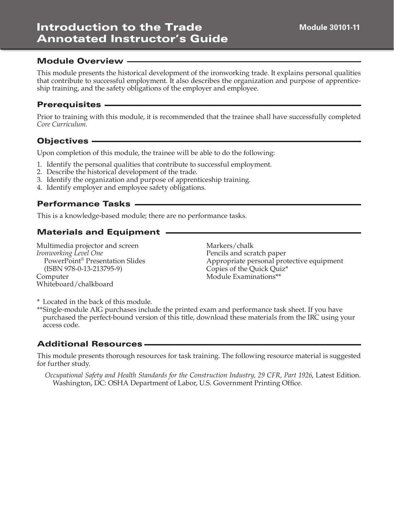This module presents the historical development of the ironworking trade. It explains personal qualities that contribute to successful employment. It also describes the organization and purpose of apprenticeship training, and the safety obligations of the employer and employee.

#### **Prerequisites -**

Prior to training with this module, it is recommended that the trainee shall have successfully completed *Core Curriculum*.

#### Objectives

Upon completion of this module, the trainee will be able to do the following:

- 1. Identify the personal qualities that contribute to successful employment.
- 2. Describe the historical development of the trade.
- 3. Identify the organization and purpose of apprenticeship training.
- 4. Identify employer and employee safety obligations.

#### Performance Tasks

This is a knowledge-based module; there are no performance tasks.

# Materials and Equipment

Multimedia projector and screen *Ironworking Level One* PowerPoint® Presentation Slides (ISBN 978-0-13-213795-9) Computer Whiteboard/chalkboard

Markers/chalk Pencils and scratch paper Appropriate personal protective equipment Copies of the Quick Quiz\* Module Examinations\*\*

\* Located in the back of this module.

\*\* Single-module AIG purchases include the printed exam and performance task sheet. If you have purchased the perfect-bound version of this title, download these materials from the IRC using your access code.

#### Additional Resources

This module presents thorough resources for task training. The following resource material is suggested for further study.

*Occupational Safety and Health Standards for the Construction Industry, 29 CFR, Part 1926*, Latest Edition. Washington, DC: OSHA Department of Labor, U.S. Government Printing Office.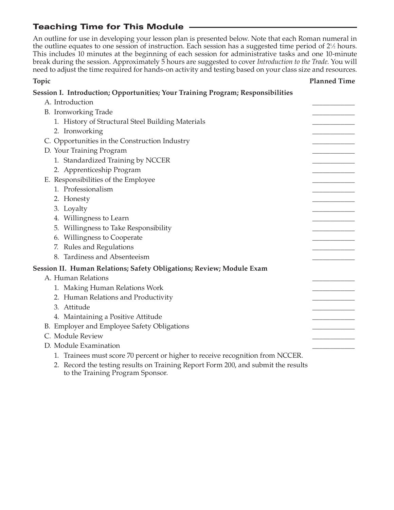# Teaching Time for This Module

An outline for use in developing your lesson plan is presented below. Note that each Roman numeral in the outline equates to one session of instruction. Each session has a suggested time period of 2<sup>1</sup>/<sub>2</sub> hours. This includes 10 minutes at the beginning of each session for administrative tasks and one 10-minute break during the session. Approximately 5 hours are suggested to cover *Introduction to the Trade*. You will need to adjust the time required for hands-on activity and testing based on your class size and resources.

#### **Topic Planned Time**

| Session I. Introduction; Opportunities; Your Training Program; Responsibilities   |  |
|-----------------------------------------------------------------------------------|--|
| A. Introduction                                                                   |  |
| B. Ironworking Trade                                                              |  |
| 1. History of Structural Steel Building Materials                                 |  |
| 2. Ironworking                                                                    |  |
| C. Opportunities in the Construction Industry                                     |  |
| D. Your Training Program                                                          |  |
| 1. Standardized Training by NCCER                                                 |  |
| 2. Apprenticeship Program                                                         |  |
| E. Responsibilities of the Employee                                               |  |
| 1. Professionalism                                                                |  |
| 2. Honesty                                                                        |  |
| 3. Loyalty                                                                        |  |
| 4. Willingness to Learn                                                           |  |
| 5. Willingness to Take Responsibility                                             |  |
| 6. Willingness to Cooperate                                                       |  |
| 7. Rules and Regulations                                                          |  |
| 8. Tardiness and Absenteeism                                                      |  |
| Session II. Human Relations; Safety Obligations; Review; Module Exam              |  |
| A. Human Relations                                                                |  |
| 1. Making Human Relations Work                                                    |  |
| 2. Human Relations and Productivity                                               |  |
| 3. Attitude                                                                       |  |
| 4. Maintaining a Positive Attitude                                                |  |
| B. Employer and Employee Safety Obligations                                       |  |
| C. Module Review                                                                  |  |
| D. Module Examination                                                             |  |
| 1. Trainees must score 70 percent or higher to receive recognition from NCCER.    |  |
| 2. Record the testing results on Training Report Form 200, and submit the results |  |

to the Training Program Sponsor.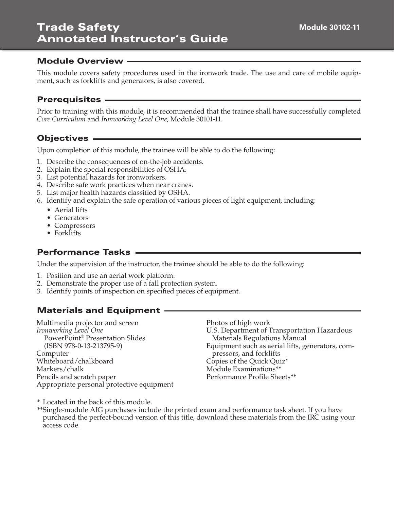This module covers safety procedures used in the ironwork trade. The use and care of mobile equipment, such as forklifts and generators, is also covered.

#### Prerequisites

Prior to training with this module, it is recommended that the trainee shall have successfully completed *Core Curriculum* and *Ironworking Level One*, Module 30101-11.

# Objectives

Upon completion of this module, the trainee will be able to do the following:

- 1. Describe the consequences of on-the-job accidents.
- 2. Explain the special responsibilities of OSHA.
- 3. List potential hazards for ironworkers.
- 4. Describe safe work practices when near cranes.
- 5. List major health hazards classified by OSHA.
- 6. Identify and explain the safe operation of various pieces of light equipment, including:
	- Aerial lifts
	- Generators
	- Compressors
	- Forklifts

# Performance Tasks

Under the supervision of the instructor, the trainee should be able to do the following:

- 1. Position and use an aerial work platform.
- 2. Demonstrate the proper use of a fall protection system.
- 3. Identify points of inspection on specified pieces of equipment.

# Materials and Equipment

Multimedia projector and screen *Ironworking Level One* PowerPoint® Presentation Slides (ISBN 978-0-13-213795-9) Computer Whiteboard/chalkboard Markers/chalk Pencils and scratch paper Appropriate personal protective equipment Photos of high work

U.S. Department of Transportation Hazardous Materials Regulations Manual Equipment such as aerial lifts, generators, compressors, and forklifts Copies of the Quick Quiz\* Module Examinations\*\* Performance Profile Sheets\*\*

\* Located in the back of this module.

\*\*Single-module AIG purchases include the printed exam and performance task sheet. If you have purchased the perfect-bound version of this title, download these materials from the IRC using your access code.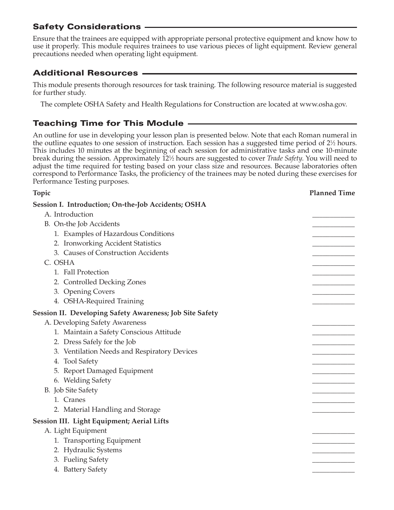# Safety Considerations

Ensure that the trainees are equipped with appropriate personal protective equipment and know how to use it properly. This module requires trainees to use various pieces of light equipment. Review general precautions needed when operating light equipment.

# Additional Resources

This module presents thorough resources for task training. The following resource material is suggested for further study.

The complete OSHA Safety and Health Regulations for Construction are located at www.osha.gov.

# Teaching Time for This Module

An outline for use in developing your lesson plan is presented below. Note that each Roman numeral in the outline equates to one session of instruction. Each session has a suggested time period of 2½ hours. This includes 10 minutes at the beginning of each session for administrative tasks and one 10-minute break during the session. Approximately 121 ⁄2 hours are suggested to cover *Trade Safety*. You will need to adjust the time required for testing based on your class size and resources. Because laboratories often correspond to Performance Tasks, the proficiency of the trainees may be noted during these exercises for Performance Testing purposes.

| Topic                                                      | <b>Planned Time</b> |
|------------------------------------------------------------|---------------------|
| <b>Session I. Introduction; On-the-Job Accidents; OSHA</b> |                     |
| A. Introduction                                            |                     |
| B. On-the Job Accidents                                    |                     |
| 1. Examples of Hazardous Conditions                        |                     |
| 2. Ironworking Accident Statistics                         |                     |
| 3. Causes of Construction Accidents                        |                     |
| C. OSHA                                                    |                     |
| 1. Fall Protection                                         |                     |
| 2. Controlled Decking Zones                                |                     |
| 3. Opening Covers                                          |                     |
| 4. OSHA-Required Training                                  |                     |
| Session II. Developing Safety Awareness; Job Site Safety   |                     |
| A. Developing Safety Awareness                             |                     |
| 1. Maintain a Safety Conscious Attitude                    |                     |
| 2. Dress Safely for the Job                                |                     |
| 3. Ventilation Needs and Respiratory Devices               |                     |
| 4. Tool Safety                                             |                     |
| 5. Report Damaged Equipment                                |                     |
| 6. Welding Safety                                          |                     |
| B. Job Site Safety                                         |                     |
| 1. Cranes                                                  |                     |
| 2. Material Handling and Storage                           |                     |
| <b>Session III. Light Equipment; Aerial Lifts</b>          |                     |
| A. Light Equipment                                         |                     |
| 1. Transporting Equipment                                  |                     |
| 2. Hydraulic Systems                                       |                     |
| 3. Fueling Safety                                          |                     |
| 4. Battery Safety                                          |                     |
|                                                            |                     |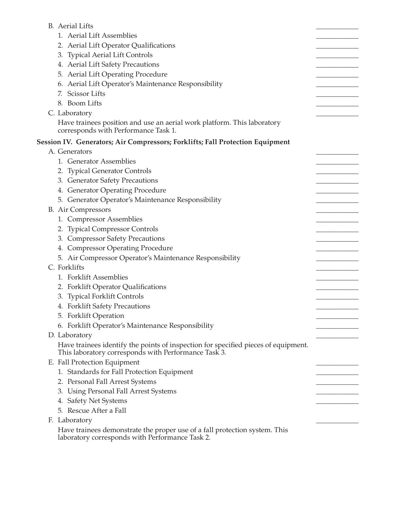| <b>B.</b> Aerial Lifts                                                                                                        |  |
|-------------------------------------------------------------------------------------------------------------------------------|--|
| 1. Aerial Lift Assemblies                                                                                                     |  |
| 2. Aerial Lift Operator Qualifications                                                                                        |  |
| 3. Typical Aerial Lift Controls                                                                                               |  |
| 4. Aerial Lift Safety Precautions                                                                                             |  |
| 5. Aerial Lift Operating Procedure                                                                                            |  |
| 6. Aerial Lift Operator's Maintenance Responsibility                                                                          |  |
| 7. Scissor Lifts                                                                                                              |  |
| 8. Boom Lifts                                                                                                                 |  |
| C. Laboratory                                                                                                                 |  |
| Have trainees position and use an aerial work platform. This laboratory                                                       |  |
| corresponds with Performance Task 1.                                                                                          |  |
| Session IV. Generators; Air Compressors; Forklifts; Fall Protection Equipment                                                 |  |
| A. Generators                                                                                                                 |  |
| 1. Generator Assemblies                                                                                                       |  |
| 2. Typical Generator Controls                                                                                                 |  |
| 3. Generator Safety Precautions                                                                                               |  |
| 4. Generator Operating Procedure                                                                                              |  |
| 5. Generator Operator's Maintenance Responsibility                                                                            |  |
| B. Air Compressors                                                                                                            |  |
| 1. Compressor Assemblies                                                                                                      |  |
| 2. Typical Compressor Controls                                                                                                |  |
| 3. Compressor Safety Precautions                                                                                              |  |
| 4. Compressor Operating Procedure                                                                                             |  |
| 5. Air Compressor Operator's Maintenance Responsibility                                                                       |  |
| C. Forklifts                                                                                                                  |  |
| 1. Forklift Assemblies                                                                                                        |  |
| 2. Forklift Operator Qualifications                                                                                           |  |
| 3. Typical Forklift Controls                                                                                                  |  |
| 4. Forklift Safety Precautions                                                                                                |  |
| 5. Forklift Operation                                                                                                         |  |
| 6. Forklift Operator's Maintenance Responsibility                                                                             |  |
| D. Laboratory                                                                                                                 |  |
| Have trainees identify the points of inspection for specified pieces of equipment.                                            |  |
| This laboratory corresponds with Performance Task 3.                                                                          |  |
| E. Fall Protection Equipment                                                                                                  |  |
| 1. Standards for Fall Protection Equipment                                                                                    |  |
| 2. Personal Fall Arrest Systems                                                                                               |  |
| 3. Using Personal Fall Arrest Systems                                                                                         |  |
| 4. Safety Net Systems                                                                                                         |  |
| 5. Rescue After a Fall                                                                                                        |  |
| F. Laboratory                                                                                                                 |  |
| Have trainees demonstrate the proper use of a fall protection system. This<br>laboratory corresponds with Performance Task 2. |  |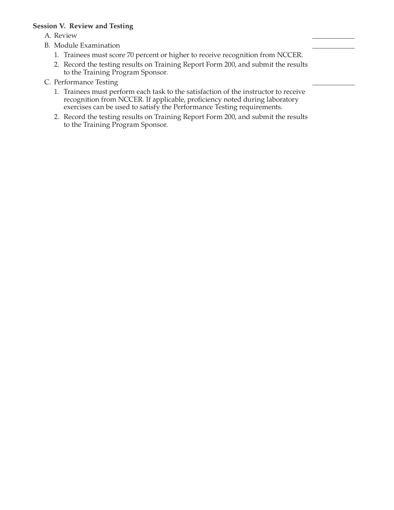#### **Session V. Review and Testing**

A. Review \_\_\_\_\_\_\_\_\_\_\_\_

- B. Module Examination
	- 1. Trainees must score 70 percent or higher to receive recognition from NCCER.
	- 2. Record the testing results on Training Report Form 200, and submit the results to the Training Program Sponsor.
- C. Performance Testing
	- 1. Trainees must perform each task to the satisfaction of the instructor to receive recognition from NCCER. If applicable, proficiency noted during laboratory exercises can be used to satisfy the Performance Testing requirements.
	- 2. Record the testing results on Training Report Form 200, and submit the results to the Training Program Sponsor.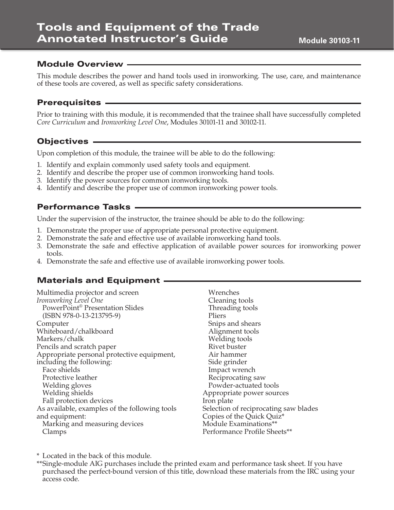This module describes the power and hand tools used in ironworking. The use, care, and maintenance of these tools are covered, as well as specific safety considerations.

#### Prerequisites

Prior to training with this module, it is recommended that the trainee shall have successfully completed *Core Curriculum* and *Ironworking Level One*, Modules 30101-11 and 30102-11.

#### Objectives

Upon completion of this module, the trainee will be able to do the following:

- 1. Identify and explain commonly used safety tools and equipment.
- 2. Identify and describe the proper use of common ironworking hand tools.
- 3. Identify the power sources for common ironworking tools.
- 4. Identify and describe the proper use of common ironworking power tools.

#### Performance Tasks

Under the supervision of the instructor, the trainee should be able to do the following:

- 1. Demonstrate the proper use of appropriate personal protective equipment.
- 2. Demonstrate the safe and effective use of available ironworking hand tools.
- 3. Demonstrate the safe and effective application of available power sources for ironworking power tools.
- 4. Demonstrate the safe and effective use of available ironworking power tools.

#### Materials and Equipment

| Multimedia projector and screen               | Wrenches                              |
|-----------------------------------------------|---------------------------------------|
| Ironworking Level One                         | Cleaning tools                        |
| PowerPoint <sup>®</sup> Presentation Slides   | Threading tools                       |
| $(ISBN 978-0-13-213795-9)$                    | Pliers                                |
| Computer                                      | Snips and shears                      |
| Whiteboard/chalkboard                         | Alignment tools                       |
| Markers/chalk                                 | Welding tools                         |
| Pencils and scratch paper                     | Rivet buster                          |
| Appropriate personal protective equipment,    | Air hammer                            |
| including the following:                      | Side grinder                          |
| Face shields                                  | Impact wrench                         |
| Protective leather                            | Reciprocating saw                     |
| Welding gloves                                | Powder-actuated tools                 |
| Welding shields                               | Appropriate power sources             |
| Fall protection devices                       | Iron plate                            |
| As available, examples of the following tools | Selection of reciprocating saw blades |
| and equipment:                                | Copies of the Quick Quiz*             |
| Marking and measuring devices                 | Module Examinations**                 |
| Clamps                                        | Performance Profile Sheets**          |
|                                               |                                       |

\* Located in the back of this module.

\*\*Single-module AIG purchases include the printed exam and performance task sheet. If you have purchased the perfect-bound version of this title, download these materials from the IRC using your access code.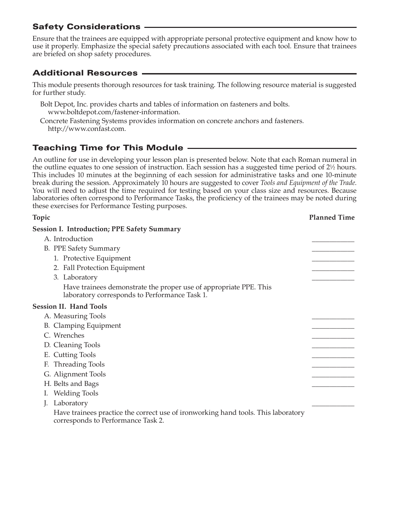# Safety Considerations

Ensure that the trainees are equipped with appropriate personal protective equipment and know how to use it properly. Emphasize the special safety precautions associated with each tool. Ensure that trainees are briefed on shop safety procedures.

# Additional Resources

This module presents thorough resources for task training. The following resource material is suggested for further study.

- Bolt Depot, Inc. provides charts and tables of information on fasteners and bolts. www.boltdepot.com/fastener-information.
- Concrete Fastening Systems provides information on concrete anchors and fasteners. http://www.confast.com.

# Teaching Time for This Module

An outline for use in developing your lesson plan is presented below. Note that each Roman numeral in the outline equates to one session of instruction. Each session has a suggested time period of 2<sup>1</sup>/<sub>2</sub> hours. This includes 10 minutes at the beginning of each session for administrative tasks and one 10-minute break during the session. Approximately 10 hours are suggested to cover *Tools and Equipment of the Trade*. You will need to adjust the time required for testing based on your class size and resources. Because laboratories often correspond to Performance Tasks, the proficiency of the trainees may be noted during these exercises for Performance Testing purposes.

| Topic                                                                                                                   | <b>Planned Time</b> |
|-------------------------------------------------------------------------------------------------------------------------|---------------------|
| <b>Session I. Introduction; PPE Safety Summary</b>                                                                      |                     |
| A. Introduction                                                                                                         |                     |
| B. PPE Safety Summary                                                                                                   |                     |
| 1. Protective Equipment                                                                                                 |                     |
| 2. Fall Protection Equipment                                                                                            |                     |
| 3. Laboratory                                                                                                           |                     |
| Have trainees demonstrate the proper use of appropriate PPE. This<br>laboratory corresponds to Performance Task 1.      |                     |
| <b>Session II. Hand Tools</b>                                                                                           |                     |
| A. Measuring Tools                                                                                                      |                     |
| <b>B.</b> Clamping Equipment                                                                                            |                     |
| C. Wrenches                                                                                                             |                     |
| D. Cleaning Tools                                                                                                       |                     |
| E. Cutting Tools                                                                                                        |                     |
| F. Threading Tools                                                                                                      |                     |
| G. Alignment Tools                                                                                                      |                     |
| H. Belts and Bags                                                                                                       |                     |
| <b>Welding Tools</b>                                                                                                    |                     |
| Laboratory                                                                                                              |                     |
| Have trainees practice the correct use of ironworking hand tools. This laboratory<br>corresponds to Performance Task 2. |                     |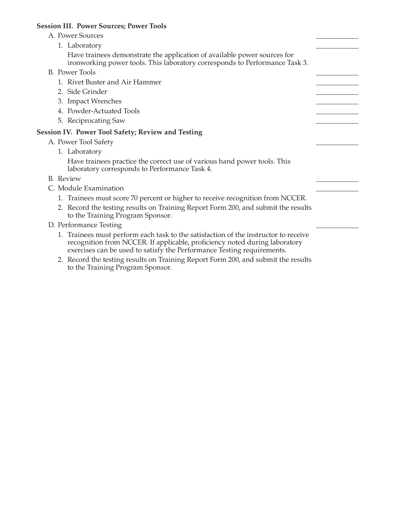# **Session III. Power Sources; Power Tools**

to the Training Program Sponsor.

| A. Power Sources                                                                                                                                                                                                                            |  |
|---------------------------------------------------------------------------------------------------------------------------------------------------------------------------------------------------------------------------------------------|--|
| 1. Laboratory                                                                                                                                                                                                                               |  |
| Have trainees demonstrate the application of available power sources for<br>ironworking power tools. This laboratory corresponds to Performance Task 3.                                                                                     |  |
| <b>B.</b> Power Tools                                                                                                                                                                                                                       |  |
| 1. Rivet Buster and Air Hammer                                                                                                                                                                                                              |  |
| 2. Side Grinder                                                                                                                                                                                                                             |  |
| 3. Impact Wrenches                                                                                                                                                                                                                          |  |
| 4. Powder-Actuated Tools                                                                                                                                                                                                                    |  |
| 5. Reciprocating Saw                                                                                                                                                                                                                        |  |
| <b>Session IV. Power Tool Safety; Review and Testing</b>                                                                                                                                                                                    |  |
| A. Power Tool Safety                                                                                                                                                                                                                        |  |
| 1. Laboratory                                                                                                                                                                                                                               |  |
| Have trainees practice the correct use of various hand power tools. This<br>laboratory corresponds to Performance Task 4.                                                                                                                   |  |
| <b>B.</b> Review                                                                                                                                                                                                                            |  |
| C. Module Examination                                                                                                                                                                                                                       |  |
| 1. Trainees must score 70 percent or higher to receive recognition from NCCER.                                                                                                                                                              |  |
| 2. Record the testing results on Training Report Form 200, and submit the results<br>to the Training Program Sponsor.                                                                                                                       |  |
| D. Performance Testing                                                                                                                                                                                                                      |  |
| 1. Trainees must perform each task to the satisfaction of the instructor to receive<br>recognition from NCCER. If applicable, proficiency noted during laboratory<br>exercises can be used to satisfy the Performance Testing requirements. |  |
| 2. Record the testing results on Training Report Form 200, and submit the results                                                                                                                                                           |  |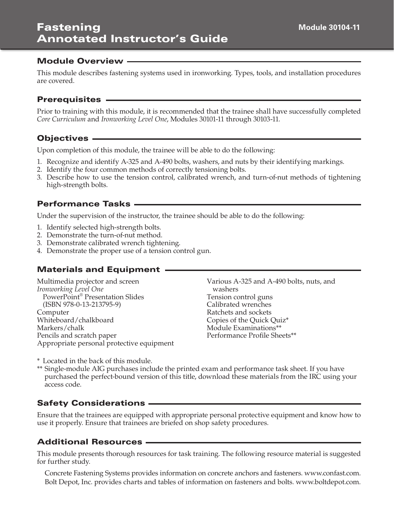This module describes fastening systems used in ironworking. Types, tools, and installation procedures are covered.

#### Prerequisites

Prior to training with this module, it is recommended that the trainee shall have successfully completed *Core Curriculum* and *Ironworking Level One*, Modules 30101-11 through 30103-11.

#### Objectives

Upon completion of this module, the trainee will be able to do the following:

- 1. Recognize and identify A-325 and A-490 bolts, washers, and nuts by their identifying markings.
- 2. Identify the four common methods of correctly tensioning bolts.
- 3. Describe how to use the tension control, calibrated wrench, and turn-of-nut methods of tightening high-strength bolts.

#### Performance Tasks

Under the supervision of the instructor, the trainee should be able to do the following:

- 1. Identify selected high-strength bolts.
- 2. Demonstrate the turn-of-nut method.
- 3. Demonstrate calibrated wrench tightening.
- 4. Demonstrate the proper use of a tension control gun.

# Materials and Equipment

Multimedia projector and screen *Ironworking Level One* PowerPoint® Presentation Slides (ISBN 978-0-13-213795-9) Computer Whiteboard/chalkboard Markers/chalk Pencils and scratch paper Appropriate personal protective equipment Various A-325 and A-490 bolts, nuts, and washers Tension control guns Calibrated wrenches Ratchets and sockets Copies of the Quick Quiz\* Module Examinations\*\* Performance Profile Sheets\*\*

\* Located in the back of this module.

\*\* Single-module AIG purchases include the printed exam and performance task sheet. If you have purchased the perfect-bound version of this title, download these materials from the IRC using your access code.

#### Safety Considerations

Ensure that the trainees are equipped with appropriate personal protective equipment and know how to use it properly. Ensure that trainees are briefed on shop safety procedures.

#### Additional Resources

This module presents thorough resources for task training. The following resource material is suggested for further study.

Concrete Fastening Systems provides information on concrete anchors and fasteners. www.confast.com. Bolt Depot, Inc. provides charts and tables of information on fasteners and bolts. www.boltdepot.com.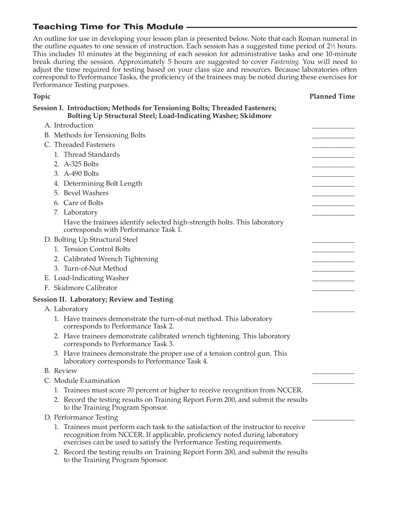# Teaching Time for This Module

An outline for use in developing your lesson plan is presented below. Note that each Roman numeral in the outline equates to one session of instruction. Each session has a suggested time period of 2½ hours. This includes 10 minutes at the beginning of each session for administrative tasks and one 10-minute break during the session. Approximately 5 hours are suggested to cover *Fastening*. You will need to adjust the time required for testing based on your class size and resources. Because laboratories often correspond to Performance Tasks, the proficiency of the trainees may be noted during these exercises for Performance Testing purposes.

| <b>Topic</b>                                                                                                                                                                                                                                | <b>Planned Time</b> |
|---------------------------------------------------------------------------------------------------------------------------------------------------------------------------------------------------------------------------------------------|---------------------|
| Session I. Introduction; Methods for Tensioning Bolts; Threaded Fasteners;<br>Bolting Up Structural Steel; Load-Indicating Washer; Skidmore                                                                                                 |                     |
| A. Introduction                                                                                                                                                                                                                             |                     |
| B. Methods for Tensioning Bolts                                                                                                                                                                                                             |                     |
| C. Threaded Fasteners                                                                                                                                                                                                                       |                     |
| 1. Thread Standards                                                                                                                                                                                                                         |                     |
| 2. A-325 Bolts                                                                                                                                                                                                                              |                     |
| 3. A-490 Bolts                                                                                                                                                                                                                              |                     |
| 4. Determining Bolt Length                                                                                                                                                                                                                  |                     |
| 5. Bevel Washers                                                                                                                                                                                                                            |                     |
| 6. Care of Bolts                                                                                                                                                                                                                            |                     |
| 7. Laboratory                                                                                                                                                                                                                               |                     |
| Have the trainees identify selected high-strength bolts. This laboratory<br>corresponds with Performance Task 1.                                                                                                                            |                     |
| D. Bolting Up Structural Steel                                                                                                                                                                                                              |                     |
| 1. Tension Control Bolts                                                                                                                                                                                                                    |                     |
| 2. Calibrated Wrench Tightening                                                                                                                                                                                                             |                     |
| 3. Turn-of-Nut Method                                                                                                                                                                                                                       |                     |
| E. Load-Indicating Washer                                                                                                                                                                                                                   |                     |
| F. Skidmore Calibrator                                                                                                                                                                                                                      |                     |
| <b>Session II. Laboratory; Review and Testing</b>                                                                                                                                                                                           |                     |
| A. Laboratory                                                                                                                                                                                                                               |                     |
| 1. Have trainees demonstrate the turn-of-nut method. This laboratory<br>corresponds to Performance Task 2.                                                                                                                                  |                     |
| 2. Have trainees demonstrate calibrated wrench tightening. This laboratory<br>corresponds to Performance Task 3.                                                                                                                            |                     |
| 3. Have trainees demonstrate the proper use of a tension control gun. This<br>laboratory corresponds to Performance Task 4.                                                                                                                 |                     |
| <b>B.</b> Review                                                                                                                                                                                                                            |                     |
| C. Module Examination                                                                                                                                                                                                                       |                     |
| 1. Trainees must score 70 percent or higher to receive recognition from NCCER.                                                                                                                                                              |                     |
| 2. Record the testing results on Training Report Form 200, and submit the results<br>to the Training Program Sponsor.                                                                                                                       |                     |
| D. Performance Testing                                                                                                                                                                                                                      |                     |
| 1. Trainees must perform each task to the satisfaction of the instructor to receive<br>recognition from NCCER. If applicable, proficiency noted during laboratory<br>exercises can be used to satisfy the Performance Testing requirements. |                     |
| 2. Record the testing results on Training Report Form 200, and submit the results<br>to the Training Program Sponsor.                                                                                                                       |                     |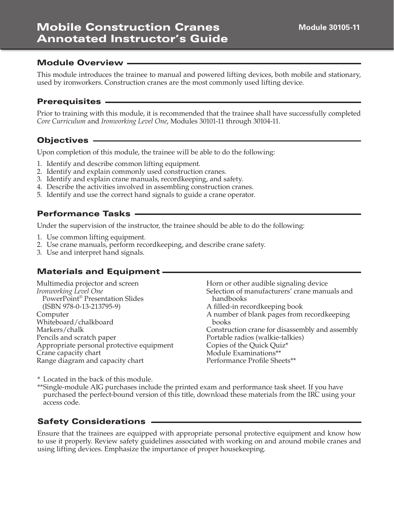This module introduces the trainee to manual and powered lifting devices, both mobile and stationary, used by ironworkers. Construction cranes are the most commonly used lifting device.

#### Prerequisites

Prior to training with this module, it is recommended that the trainee shall have successfully completed *Core Curriculum* and *Ironworking Level One*, Modules 30101-11 through 30104-11.

#### Objectives

Upon completion of this module, the trainee will be able to do the following:

- 1. Identify and describe common lifting equipment.
- 2. Identify and explain commonly used construction cranes.
- 3. Identify and explain crane manuals, recordkeeping, and safety.
- 4. Describe the activities involved in assembling construction cranes.
- 5. Identify and use the correct hand signals to guide a crane operator.

#### Performance Tasks

Under the supervision of the instructor, the trainee should be able to do the following:

- 1. Use common lifting equipment.
- 2. Use crane manuals, perform recordkeeping, and describe crane safety.
- 3. Use and interpret hand signals.

#### Materials and Equipment

| Multimedia projector and screen           | Horn or other audible signaling device          |
|-------------------------------------------|-------------------------------------------------|
| Ironworking Level One                     | Selection of manufacturers' crane manuals and   |
| PowerPoint® Presentation Slides           | handbooks                                       |
| $(ISBN 978-0-13-213795-9)$                | A filled-in recordkeeping book                  |
| Computer                                  | A number of blank pages from recordkeeping      |
| Whiteboard/chalkboard                     | books                                           |
| Markers/chalk                             | Construction crane for disassembly and assembly |
| Pencils and scratch paper                 | Portable radios (walkie-talkies)                |
| Appropriate personal protective equipment | Copies of the Quick Quiz*                       |
| Crane capacity chart                      | Module Examinations**                           |
| Range diagram and capacity chart          | Performance Profile Sheets**                    |
|                                           |                                                 |

\* Located in the back of this module.

\*\*Single-module AIG purchases include the printed exam and performance task sheet. If you have purchased the perfect-bound version of this title, download these materials from the IRC using your access code.

#### Safety Considerations

Ensure that the trainees are equipped with appropriate personal protective equipment and know how to use it properly. Review safety guidelines associated with working on and around mobile cranes and using lifting devices. Emphasize the importance of proper housekeeping.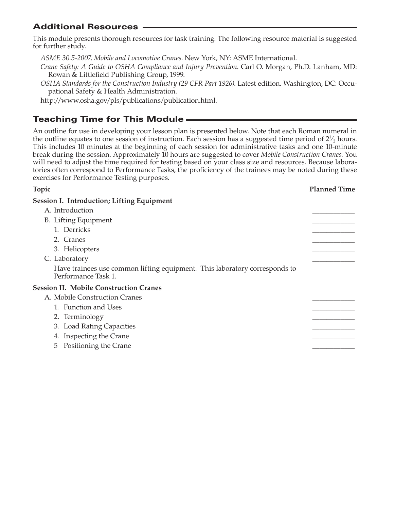# Additional Resources

This module presents thorough resources for task training. The following resource material is suggested for further study.

- *ASME 30.5-2007, Mobile and Locomotive Cranes*. New York, NY: ASME International.
- *Crane Safety: A Guide to OSHA Compliance and Injury Prevention*. Carl O. Morgan, Ph.D. Lanham, MD: Rowan & Littlefield Publishing Group, 1999.
- *OSHA Standards for the Construction Industry (29 CFR Part 1926)*. Latest edition. Washington, DC: Occupational Safety & Health Administration.

http://www.osha.gov/pls/publications/publication.html.

# Teaching Time for This Module

An outline for use in developing your lesson plan is presented below. Note that each Roman numeral in the outline equates to one session of instruction. Each session has a suggested time period of  $2\frac{1}{2}$  hours. This includes 10 minutes at the beginning of each session for administrative tasks and one 10-minute break during the session. Approximately 10 hours are suggested to cover *Mobile Construction Cranes*. You will need to adjust the time required for testing based on your class size and resources. Because laboratories often correspond to Performance Tasks, the proficiency of the trainees may be noted during these exercises for Performance Testing purposes.

## **Topic Planned Time Session I. Introduction; Lifting Equipment** A. Introduction B. Lifting Equipment 1. Derricks \_\_\_\_\_\_\_\_\_\_\_\_ 2. Cranes \_\_\_\_\_\_\_\_\_\_\_\_ 3. Helicopters C. Laboratory Have trainees use common lifting equipment. This laboratory corresponds to Performance Task 1. **Session II. Mobile Construction Cranes** A. Mobile Construction Cranes 1. Function and Uses 2. Terminology 3. Load Rating Capacities 4. Inspecting the Crane 5 Positioning the Crane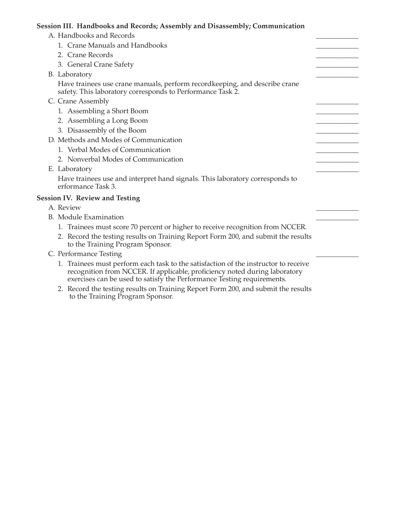# **Session III. Handbooks and Records; Assembly and Disassembly; Communication**

| A. Handbooks and Records                                                                                                                                                                                                                    |  |
|---------------------------------------------------------------------------------------------------------------------------------------------------------------------------------------------------------------------------------------------|--|
| 1. Crane Manuals and Handbooks                                                                                                                                                                                                              |  |
| 2. Crane Records                                                                                                                                                                                                                            |  |
| 3. General Crane Safety                                                                                                                                                                                                                     |  |
| B. Laboratory                                                                                                                                                                                                                               |  |
| Have trainees use crane manuals, perform recordkeeping, and describe crane<br>safety. This laboratory corresponds to Performance Task 2.                                                                                                    |  |
| C. Crane Assembly                                                                                                                                                                                                                           |  |
| 1. Assembling a Short Boom                                                                                                                                                                                                                  |  |
| 2. Assembling a Long Boom                                                                                                                                                                                                                   |  |
| 3. Disassembly of the Boom                                                                                                                                                                                                                  |  |
| D. Methods and Modes of Communication                                                                                                                                                                                                       |  |
| 1. Verbal Modes of Communication                                                                                                                                                                                                            |  |
| 2. Nonverbal Modes of Communication                                                                                                                                                                                                         |  |
| E. Laboratory                                                                                                                                                                                                                               |  |
| Have trainees use and interpret hand signals. This laboratory corresponds to<br>erformance Task 3.                                                                                                                                          |  |
| <b>Session IV. Review and Testing</b>                                                                                                                                                                                                       |  |
| A. Review                                                                                                                                                                                                                                   |  |
| <b>B.</b> Module Examination                                                                                                                                                                                                                |  |
| 1. Trainees must score 70 percent or higher to receive recognition from NCCER.                                                                                                                                                              |  |
| 2. Record the testing results on Training Report Form 200, and submit the results<br>to the Training Program Sponsor.                                                                                                                       |  |
| C. Performance Testing                                                                                                                                                                                                                      |  |
| 1. Trainees must perform each task to the satisfaction of the instructor to receive<br>recognition from NCCER. If applicable, proficiency noted during laboratory<br>exercises can be used to satisfy the Performance Testing requirements. |  |
| 2. Record the testing results on Training Report Form 200 and submit the results                                                                                                                                                            |  |

 2. Record the testing results on Training Report Form 200, and submit the results to the Training Program Sponsor.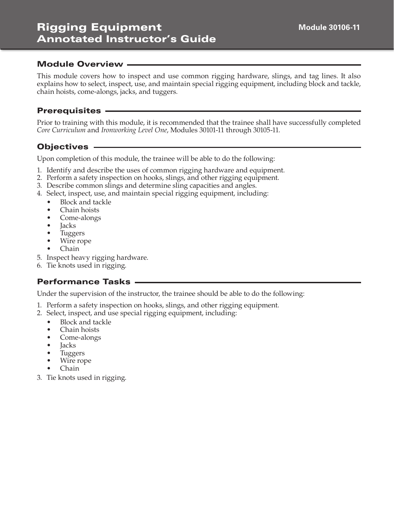# Rigging Equipment Annotated Instructor's Guide

#### Module Overview

This module covers how to inspect and use common rigging hardware, slings, and tag lines. It also explains how to select, inspect, use, and maintain special rigging equipment, including block and tackle, chain hoists, come-alongs, jacks, and tuggers.

#### **Prerequisites**

Prior to training with this module, it is recommended that the trainee shall have successfully completed *Core Curriculum* and *Ironworking Level One*, Modules 30101-11 through 30105-11.

#### **Objectives**

Upon completion of this module, the trainee will be able to do the following:

- 1. Identify and describe the uses of common rigging hardware and equipment.
- 2. Perform a safety inspection on hooks, slings, and other rigging equipment.
- 3. Describe common slings and determine sling capacities and angles.
- 4. Select, inspect, use, and maintain special rigging equipment, including:
	- Block and tackle
	- Chain hoists
	- Come-alongs
	- **Jacks**
	- Tuggers
	- Wire rope
	- Chain
- 5. Inspect heavy rigging hardware.
- 6. Tie knots used in rigging.

#### Performance Tasks

Under the supervision of the instructor, the trainee should be able to do the following:

- 1. Perform a safety inspection on hooks, slings, and other rigging equipment.
- 2. Select, inspect, and use special rigging equipment, including:
	- Block and tackle
	- Chain hoists
	- Come-alongs
	- **Jacks**
	- Tuggers
	- Wire rope
	- Chain
- 3. Tie knots used in rigging.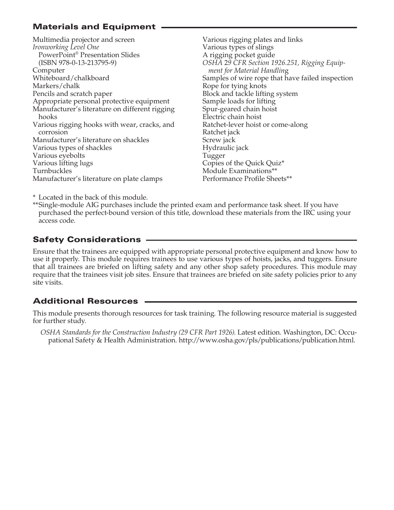# Materials and Equipment

Multimedia projector and screen *Ironworking Level One* PowerPoint® Presentation Slides (ISBN 978-0-13-213795-9) Computer Whiteboard/chalkboard Markers/chalk Pencils and scratch paper Appropriate personal protective equipment Manufacturer's literature on different rigging hooks Various rigging hooks with wear, cracks, and corrosion Manufacturer's literature on shackles Various types of shackles Various eyebolts Various lifting lugs Turnbuckles Manufacturer's literature on plate clamps

Various rigging plates and links Various types of slings A rigging pocket guide *OSHA* 2*9 CFR Section 1926.251, Rigging Equipment for Material Handlin*g Samples of wire rope that have failed inspection Rope for tying knots Block and tackle lifting system Sample loads for lifting Spur-geared chain hoist Electric chain hoist Ratchet-lever hoist or come-along Ratchet jack Screw jack Hydraulic jack Tugger Copies of the Quick Quiz\* Module Examinations\*\* Performance Profile Sheets\*\*

\* Located in the back of this module.

\*\*Single-module AIG purchases include the printed exam and performance task sheet. If you have purchased the perfect-bound version of this title, download these materials from the IRC using your access code.

# Safety Considerations

Ensure that the trainees are equipped with appropriate personal protective equipment and know how to use it properly. This module requires trainees to use various types of hoists, jacks, and tuggers. Ensure that all trainees are briefed on lifting safety and any other shop safety procedures. This module may require that the trainees visit job sites. Ensure that trainees are briefed on site safety policies prior to any site visits.

# Additional Resources

This module presents thorough resources for task training. The following resource material is suggested for further study.

*OSHA Standards for the Construction Industry (29 CFR Part 1926)*. Latest edition. Washington, DC: Occupational Safety & Health Administration. http://www.osha.gov/pls/publications/publication.html.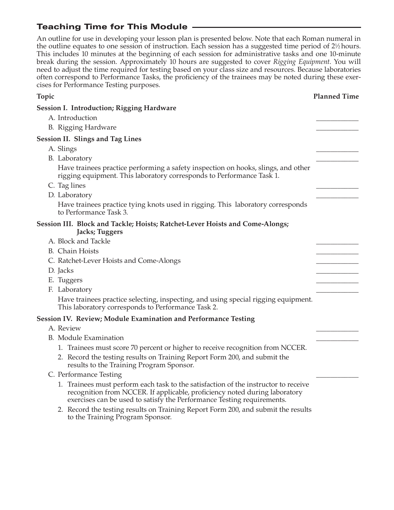# Teaching Time for This Module

An outline for use in developing your lesson plan is presented below. Note that each Roman numeral in the outline equates to one session of instruction. Each session has a suggested time period of 2½ hours. This includes 10 minutes at the beginning of each session for administrative tasks and one 10-minute break during the session. Approximately 10 hours are suggested to cover *Rigging Equipment*. You will need to adjust the time required for testing based on your class size and resources. Because laboratories often correspond to Performance Tasks, the proficiency of the trainees may be noted during these exercises for Performance Testing purposes.

| Topic                                                                                                                                                                                                                                       | <b>Planned Time</b> |
|---------------------------------------------------------------------------------------------------------------------------------------------------------------------------------------------------------------------------------------------|---------------------|
| <b>Session I. Introduction; Rigging Hardware</b>                                                                                                                                                                                            |                     |
| A. Introduction                                                                                                                                                                                                                             |                     |
| B. Rigging Hardware                                                                                                                                                                                                                         |                     |
| <b>Session II. Slings and Tag Lines</b>                                                                                                                                                                                                     |                     |
| A. Slings                                                                                                                                                                                                                                   |                     |
| B. Laboratory                                                                                                                                                                                                                               |                     |
| Have trainees practice performing a safety inspection on hooks, slings, and other<br>rigging equipment. This laboratory corresponds to Performance Task 1.                                                                                  |                     |
| C. Tag lines                                                                                                                                                                                                                                |                     |
| D. Laboratory                                                                                                                                                                                                                               |                     |
| Have trainees practice tying knots used in rigging. This laboratory corresponds<br>to Performance Task 3.                                                                                                                                   |                     |
| Session III. Block and Tackle; Hoists; Ratchet-Lever Hoists and Come-Alongs;<br>Jacks; Tuggers                                                                                                                                              |                     |
| A. Block and Tackle                                                                                                                                                                                                                         |                     |
| <b>B.</b> Chain Hoists                                                                                                                                                                                                                      |                     |
| C. Ratchet-Lever Hoists and Come-Alongs                                                                                                                                                                                                     |                     |
| D. Jacks                                                                                                                                                                                                                                    |                     |
| E. Tuggers                                                                                                                                                                                                                                  |                     |
| F. Laboratory                                                                                                                                                                                                                               |                     |
| Have trainees practice selecting, inspecting, and using special rigging equipment.<br>This laboratory corresponds to Performance Task 2.                                                                                                    |                     |
| Session IV. Review; Module Examination and Performance Testing                                                                                                                                                                              |                     |
| A. Review                                                                                                                                                                                                                                   |                     |
| B. Module Examination                                                                                                                                                                                                                       |                     |
| 1. Trainees must score 70 percent or higher to receive recognition from NCCER.                                                                                                                                                              |                     |
| 2. Record the testing results on Training Report Form 200, and submit the<br>results to the Training Program Sponsor.                                                                                                                       |                     |
| C. Performance Testing                                                                                                                                                                                                                      |                     |
| 1. Trainees must perform each task to the satisfaction of the instructor to receive<br>recognition from NCCER. If applicable, proficiency noted during laboratory<br>exercises can be used to satisfy the Performance Testing requirements. |                     |
| 2. Record the testing results on Training Report Form 200, and submit the results<br>to the Training Program Sponsor.                                                                                                                       |                     |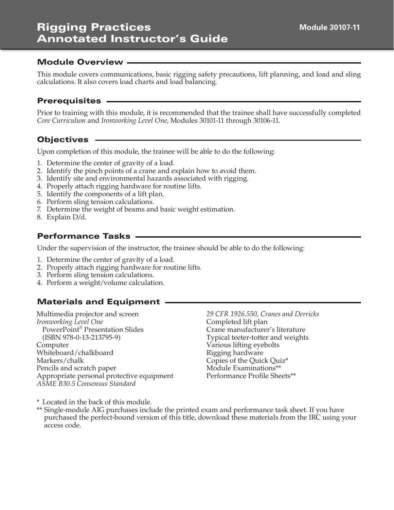# Rigging Practices Annotated Instructor's Guide

#### Module Overview

This module covers communications, basic rigging safety precautions, lift planning, and load and sling calculations. It also covers load charts and load balancing.

#### Prerequisites

Prior to training with this module, it is recommended that the trainee shall have successfully completed *Core Curriculum* and *Ironworking Level One*, Modules 30101-11 through 30106-11.

# **Objectives** .

Upon completion of this module, the trainee will be able to do the following:

- 1. Determine the center of gravity of a load.
- 2. Identify the pinch points of a crane and explain how to avoid them.
- 3. Identify site and environmental hazards associated with rigging.
- 4. Properly attach rigging hardware for routine lifts.
- 5. Identify the components of a lift plan.
- 6. Perform sling tension calculations.
- 7. Determine the weight of beams and basic weight estimation.
- 8. Explain D/d.

#### Performance Tasks

Under the supervision of the instructor, the trainee should be able to do the following:

- 1. Determine the center of gravity of a load.
- 2. Properly attach rigging hardware for routine lifts.
- 3. Perform sling tension calculations.
- 4. Perform a weight/volume calculation.

#### Materials and Equipment

Multimedia projector and screen *Ironworking Level One* PowerPoint® Presentation Slides (ISBN 978-0-13-213795-9) Computer Whiteboard/chalkboard Markers/chalk Pencils and scratch paper Appropriate personal protective equipment *ASME B30.5 Consensus Standard* 

*29 CFR 1926.550, Cranes and Derricks*  Completed lift plan Crane manufacturer's literature Typical teeter-totter and weights Various lifting eyebolts Rigging hardware Copies of the Quick Quiz\* Module Examinations\*\* Performance Profile Sheets\*\*

\* Located in the back of this module.

\*\* Single-module AIG purchases include the printed exam and performance task sheet. If you have purchased the perfect-bound version of this title, download these materials from the IRC using your access code.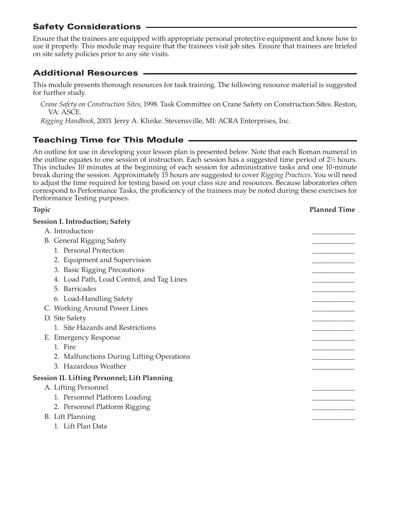# Safety Considerations

Ensure that the trainees are equipped with appropriate personal protective equipment and know how to use it properly. This module may require that the trainees visit job sites. Ensure that trainees are briefed on site safety policies prior to any site visits.

# Additional Resources

This module presents thorough resources for task training. The following resource material is suggested for further study.

*Crane Safety on Construction Sites*, 1998. Task Committee on Crane Safety on Construction Sites. Reston, VA: ASCE.

*Rigging Handbook*, 2003. Jerry A. Klinke. Stevensville, MI: ACRA Enterprises, Inc.

# Teaching Time for This Module

An outline for use in developing your lesson plan is presented below. Note that each Roman numeral in the outline equates to one session of instruction. Each session has a suggested time period of 2<sup>1</sup>/<sub>2</sub> hours. This includes 10 minutes at the beginning of each session for administrative tasks and one 10-minute break during the session. Approximately 15 hours are suggested to cover *Rigging Practices*. You will need to adjust the time required for testing based on your class size and resources. Because laboratories often correspond to Performance Tasks, the proficiency of the trainees may be noted during these exercises for Performance Testing purposes.

| Topic                                               | <b>Planned Time</b> |
|-----------------------------------------------------|---------------------|
| <b>Session I. Introduction; Safety</b>              |                     |
| A. Introduction                                     |                     |
| <b>B.</b> General Rigging Safety                    |                     |
| 1. Personal Protection                              |                     |
| 2. Equipment and Supervision                        |                     |
| 3. Basic Rigging Precautions                        |                     |
| 4. Load Path, Load Control, and Tag Lines           |                     |
| 5. Barricades                                       |                     |
| 6. Load-Handling Safety                             |                     |
| C. Working Around Power Lines                       |                     |
| D. Site Safety                                      |                     |
| 1. Site Hazards and Restrictions                    |                     |
| E. Emergency Response                               |                     |
| 1. Fire                                             |                     |
| 2. Malfunctions During Lifting Operations           |                     |
| 3. Hazardous Weather                                |                     |
| <b>Session II. Lifting Personnel; Lift Planning</b> |                     |
| A. Lifting Personnel                                |                     |
| 1. Personnel Platform Loading                       |                     |
| 2. Personnel Platform Rigging                       |                     |
| B. Lift Planning                                    |                     |
| 1. Lift Plan Data                                   |                     |
|                                                     |                     |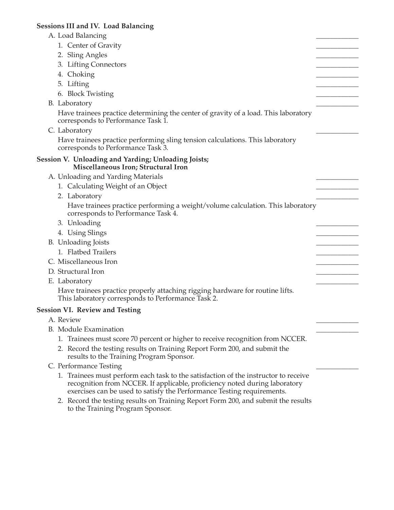#### **Sessions III and IV. Load Balancing**

| A. Load Balancing                                                                                                                                                                                                                           |  |
|---------------------------------------------------------------------------------------------------------------------------------------------------------------------------------------------------------------------------------------------|--|
| 1. Center of Gravity                                                                                                                                                                                                                        |  |
| 2. Sling Angles                                                                                                                                                                                                                             |  |
| 3. Lifting Connectors                                                                                                                                                                                                                       |  |
| 4. Choking                                                                                                                                                                                                                                  |  |
| 5. Lifting                                                                                                                                                                                                                                  |  |
| 6. Block Twisting                                                                                                                                                                                                                           |  |
| B. Laboratory                                                                                                                                                                                                                               |  |
| Have trainees practice determining the center of gravity of a load. This laboratory<br>corresponds to Performance Task 1.                                                                                                                   |  |
| C. Laboratory                                                                                                                                                                                                                               |  |
| Have trainees practice performing sling tension calculations. This laboratory<br>corresponds to Performance Task 3.                                                                                                                         |  |
| Session V. Unloading and Yarding; Unloading Joists;<br>Miscellaneous Iron; Structural Iron                                                                                                                                                  |  |
| A. Unloading and Yarding Materials                                                                                                                                                                                                          |  |
| 1. Calculating Weight of an Object                                                                                                                                                                                                          |  |
| 2. Laboratory                                                                                                                                                                                                                               |  |
| Have trainees practice performing a weight/volume calculation. This laboratory<br>corresponds to Performance Task 4.                                                                                                                        |  |
| 3. Unloading                                                                                                                                                                                                                                |  |
| 4. Using Slings                                                                                                                                                                                                                             |  |
| B. Unloading Joists                                                                                                                                                                                                                         |  |
| 1. Flatbed Trailers                                                                                                                                                                                                                         |  |
| C. Miscellaneous Iron                                                                                                                                                                                                                       |  |
| D. Structural Iron                                                                                                                                                                                                                          |  |
| E. Laboratory                                                                                                                                                                                                                               |  |
| Have trainees practice properly attaching rigging hardware for routine lifts.<br>This laboratory corresponds to Performance Task 2.                                                                                                         |  |
| <b>Session VI. Review and Testing</b>                                                                                                                                                                                                       |  |
| A. Review                                                                                                                                                                                                                                   |  |
| <b>B.</b> Module Examination                                                                                                                                                                                                                |  |
| 1. Trainees must score 70 percent or higher to receive recognition from NCCER.                                                                                                                                                              |  |
| 2. Record the testing results on Training Report Form 200, and submit the<br>results to the Training Program Sponsor.                                                                                                                       |  |
| C. Performance Testing                                                                                                                                                                                                                      |  |
| 1. Trainees must perform each task to the satisfaction of the instructor to receive<br>recognition from NCCER. If applicable, proficiency noted during laboratory<br>exercises can be used to satisfy the Performance Testing requirements. |  |

 2. Record the testing results on Training Report Form 200, and submit the results to the Training Program Sponsor.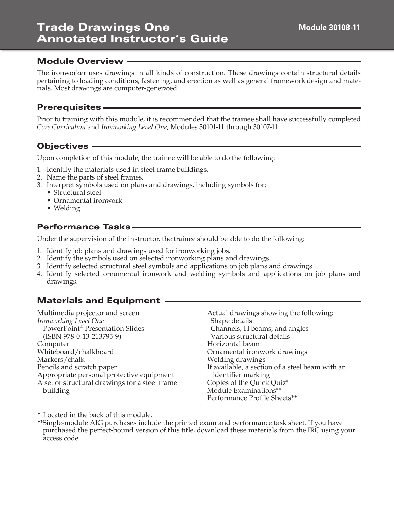The ironworker uses drawings in all kinds of construction. These drawings contain structural details pertaining to loading conditions, fastening, and erection as well as general framework design and materials. Most drawings are computer-generated.

# Prerequisites

Prior to training with this module, it is recommended that the trainee shall have successfully completed *Core Curriculum* and *Ironworking Level One*, Modules 30101-11 through 30107-11.

# Objectives

Upon completion of this module, the trainee will be able to do the following:

- 1. Identify the materials used in steel-frame buildings.
- 2. Name the parts of steel frames.
- 3. Interpret symbols used on plans and drawings, including symbols for:
	- Structural steel
	- Ornamental ironwork
	- Welding

#### Performance Tasks

Under the supervision of the instructor, the trainee should be able to do the following:

- 1. Identify job plans and drawings used for ironworking jobs.
- 2. Identify the symbols used on selected ironworking plans and drawings.
- 3. Identify selected structural steel symbols and applications on job plans and drawings.
- 4. Identify selected ornamental ironwork and welding symbols and applications on job plans and drawings.

# Materials and Equipment

Multimedia projector and screen *Ironworking Level One* PowerPoint® Presentation Slides (ISBN 978-0-13-213795-9) Computer Whiteboard/chalkboard Markers/chalk Pencils and scratch paper Appropriate personal protective equipment A set of structural drawings for a steel frame building

Actual drawings showing the following: Shape details Channels, H beams, and angles Various structural details Horizontal beam Ornamental ironwork drawings Welding drawings If available, a section of a steel beam with an identifier marking Copies of the Quick Quiz\* Module Examinations\*\* Performance Profile Sheets\*\*

\* Located in the back of this module.

\*\*Single-module AIG purchases include the printed exam and performance task sheet. If you have purchased the perfect-bound version of this title, download these materials from the IRC using your access code.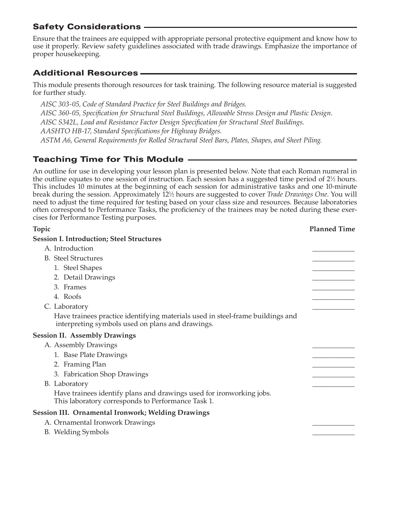# Safety Considerations

Ensure that the trainees are equipped with appropriate personal protective equipment and know how to use it properly. Review safety guidelines associated with trade drawings. Emphasize the importance of proper housekeeping.

# Additional Resources

This module presents thorough resources for task training. The following resource material is suggested for further study.

*AISC 303-05, Code of Standard Practice for Steel Buildings and Bridges*. *AISC 360-05, Specification for Structural Steel Buildings, Allowable Stress Design and Plastic Design*. *AISC S342L, Load and Resistance Factor Design Specification for Structural Steel Buildings*. *AASHTO HB-17, Standard Specifications for Highway Bridges*. *ASTM A6, General Requirements for Rolled Structural Steel Bars, Plates, Shapes, and Sheet Piling*.

# Teaching Time for This Module

An outline for use in developing your lesson plan is presented below. Note that each Roman numeral in the outline equates to one session of instruction. Each session has a suggested time period of 2<sup>1</sup>/<sub>2</sub> hours. This includes 10 minutes at the beginning of each session for administrative tasks and one 10-minute break during the session. Approximately 121 ⁄2 hours are suggested to cover *Trade Drawings One*. You will need to adjust the time required for testing based on your class size and resources. Because laboratories often correspond to Performance Tasks, the proficiency of the trainees may be noted during these exercises for Performance Testing purposes.

| Topic                                                                                                                              | <b>Planned Time</b> |
|------------------------------------------------------------------------------------------------------------------------------------|---------------------|
| <b>Session I. Introduction; Steel Structures</b>                                                                                   |                     |
| A. Introduction                                                                                                                    |                     |
| <b>B.</b> Steel Structures                                                                                                         |                     |
| 1. Steel Shapes                                                                                                                    |                     |
| 2. Detail Drawings                                                                                                                 |                     |
| 3. Frames                                                                                                                          |                     |
| 4. Roofs                                                                                                                           |                     |
| C. Laboratory                                                                                                                      |                     |
| Have trainees practice identifying materials used in steel-frame buildings and<br>interpreting symbols used on plans and drawings. |                     |
| <b>Session II. Assembly Drawings</b>                                                                                               |                     |
| A. Assembly Drawings                                                                                                               |                     |
| 1. Base Plate Drawings                                                                                                             |                     |
| 2. Framing Plan                                                                                                                    |                     |
| 3. Fabrication Shop Drawings                                                                                                       |                     |
| B. Laboratory                                                                                                                      |                     |
| Have trainees identify plans and drawings used for ironworking jobs.<br>This laboratory corresponds to Performance Task 1.         |                     |
| <b>Session III. Ornamental Ironwork; Welding Drawings</b>                                                                          |                     |
| A. Ornamental Ironwork Drawings                                                                                                    |                     |
| B. Welding Symbols                                                                                                                 |                     |
|                                                                                                                                    |                     |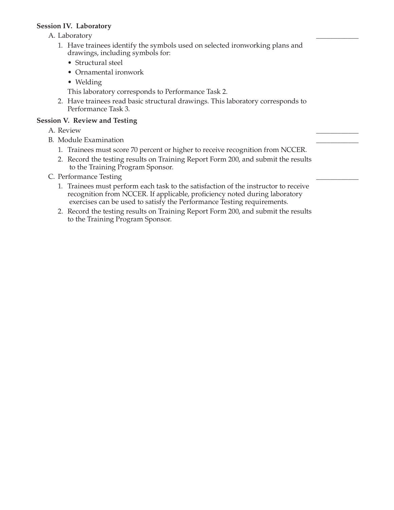#### **Session IV. Laboratory**

A. Laboratory

- 1. Have trainees identify the symbols used on selected ironworking plans and drawings, including symbols for:
	- Structural steel
	- Ornamental ironwork
	- Welding
	- This laboratory corresponds to Performance Task 2.
- 2. Have trainees read basic structural drawings. This laboratory corresponds to Performance Task 3.

#### **Session V. Review and Testing**

- A. Review \_\_\_\_\_\_\_\_\_\_\_\_
- B. Module Examination
	- 1. Trainees must score 70 percent or higher to receive recognition from NCCER.
	- 2. Record the testing results on Training Report Form 200, and submit the results to the Training Program Sponsor.
- C. Performance Testing
	- 1. Trainees must perform each task to the satisfaction of the instructor to receive recognition from NCCER. If applicable, proficiency noted during laboratory exercises can be used to satisfy the Performance Testing requirements.
	- 2. Record the testing results on Training Report Form 200, and submit the results to the Training Program Sponsor.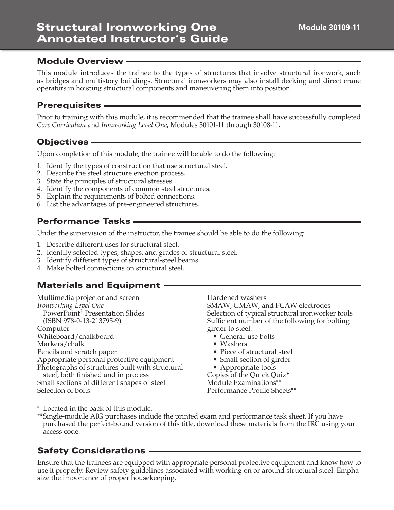#### **Module 30109-11**

#### Module Overview

This module introduces the trainee to the types of structures that involve structural ironwork, such as bridges and multistory buildings. Structural ironworkers may also install decking and direct crane operators in hoisting structural components and maneuvering them into position.

#### Prerequisites

Prior to training with this module, it is recommended that the trainee shall have successfully completed *Core Curriculum* and *Ironworking Level One*, Modules 30101-11 through 30108-11.

#### Objectives

Upon completion of this module, the trainee will be able to do the following:

- 1. Identify the types of construction that use structural steel.
- 2. Describe the steel structure erection process.
- 3. State the principles of structural stresses.
- 4. Identify the components of common steel structures.
- 5. Explain the requirements of bolted connections.
- 6. List the advantages of pre-engineered structures.

#### Performance Tasks

Under the supervision of the instructor, the trainee should be able to do the following:

- 1. Describe different uses for structural steel.
- 2. Identify selected types, shapes, and grades of structural steel.
- 3. Identify different types of structural-steel beams.
- 4. Make bolted connections on structural steel.

#### Materials and Equipment

Multimedia projector and screen *Ironworking Level One* PowerPoint® Presentation Slides (ISBN 978-0-13-213795-9) Computer Whiteboard/chalkboard

Markers/chalk Pencils and scratch paper Appropriate personal protective equipment

Photographs of structures built with structural

steel, both finished and in process Small sections of different shapes of steel Selection of bolts

Hardened washers SMAW, GMAW, and FCAW electrodes Selection of typical structural ironworker tools Sufficient number of the following for bolting girder to steel:

- General-use bolts
- Washers
- Piece of structural steel
- Small section of girder
- Appropriate tools

Copies of the Quick Quiz\* Module Examinations\*\* Performance Profile Sheets\*\*

\* Located in the back of this module.

\*\*Single-module AIG purchases include the printed exam and performance task sheet. If you have purchased the perfect-bound version of this title, download these materials from the IRC using your access code.

#### Safety Considerations

Ensure that the trainees are equipped with appropriate personal protective equipment and know how to use it properly. Review safety guidelines associated with working on or around structural steel. Emphasize the importance of proper housekeeping.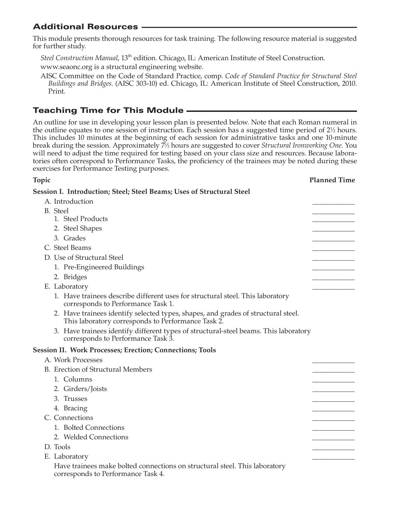# Additional Resources

This module presents thorough resources for task training. The following resource material is suggested for further study.

*Steel Construction Manual*, 13th edition. Chicago, IL: American Institute of Steel Construction. www.seaonc.org is a structural engineering website.

AISC Committee on the Code of Standard Practice, comp. *Code of Standard Practice for Structural Steel Buildings and Bridges*. (AISC 303-10) ed. Chicago, IL: American Institute of Steel Construction, 2010. Print.

# Teaching Time for This Module

An outline for use in developing your lesson plan is presented below. Note that each Roman numeral in the outline equates to one session of instruction. Each session has a suggested time period of 2½ hours. This includes 10 minutes at the beginning of each session for administrative tasks and one 10-minute break during the session. Approximately 71 ⁄2 hours are suggested to cover *Structural Ironworking One*. You will need to adjust the time required for testing based on your class size and resources. Because laboratories often correspond to Performance Tasks, the proficiency of the trainees may be noted during these exercises for Performance Testing purposes.

**Topic Planned Time** 

| Session I. Introduction; Steel; Steel Beams; Uses of Structural Steel                                                                   |  |
|-----------------------------------------------------------------------------------------------------------------------------------------|--|
| A. Introduction                                                                                                                         |  |
| <b>B.</b> Steel                                                                                                                         |  |
| 1. Steel Products                                                                                                                       |  |
| 2. Steel Shapes                                                                                                                         |  |
| 3. Grades                                                                                                                               |  |
| C. Steel Beams                                                                                                                          |  |
| D. Use of Structural Steel                                                                                                              |  |
| 1. Pre-Engineered Buildings                                                                                                             |  |
| 2. Bridges                                                                                                                              |  |
| E. Laboratory                                                                                                                           |  |
| 1. Have trainees describe different uses for structural steel. This laboratory<br>corresponds to Performance Task 1.                    |  |
| 2. Have trainees identify selected types, shapes, and grades of structural steel.<br>This laboratory corresponds to Performance Task 2. |  |
| 3. Have trainees identify different types of structural-steel beams. This laboratory<br>corresponds to Performance Task 3.              |  |
| <b>Session II. Work Processes; Erection; Connections; Tools</b>                                                                         |  |
| A. Work Processes                                                                                                                       |  |
| B. Erection of Structural Members                                                                                                       |  |
| 1. Columns                                                                                                                              |  |
| 2. Girders/Joists                                                                                                                       |  |
| 3. Trusses                                                                                                                              |  |
| 4. Bracing                                                                                                                              |  |
| C. Connections                                                                                                                          |  |
| 1. Bolted Connections                                                                                                                   |  |
| 2. Welded Connections                                                                                                                   |  |
| D. Tools                                                                                                                                |  |
| E. Laboratory                                                                                                                           |  |
| Have trainees make bolted connections on structural steel. This laboratory<br>corresponds to Performance Task 4.                        |  |
|                                                                                                                                         |  |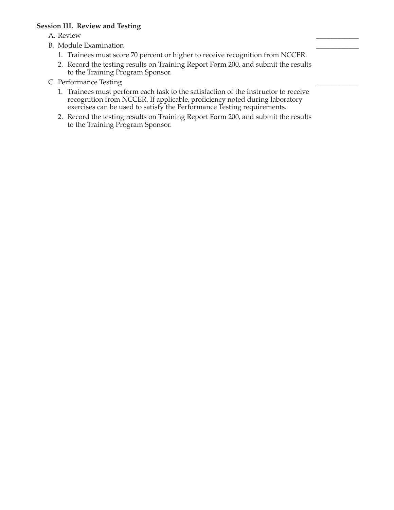#### **Session III. Review and Testing**

- A. Review \_\_\_\_\_\_\_\_\_\_\_\_
- B. Module Examination
	- 1. Trainees must score 70 percent or higher to receive recognition from NCCER.
	- 2. Record the testing results on Training Report Form 200, and submit the results to the Training Program Sponsor.
- C. Performance Testing
	- 1. Trainees must perform each task to the satisfaction of the instructor to receive recognition from NCCER. If applicable, proficiency noted during laboratory exercises can be used to satisfy the Performance Testing requirements.
	- 2. Record the testing results on Training Report Form 200, and submit the results to the Training Program Sponsor.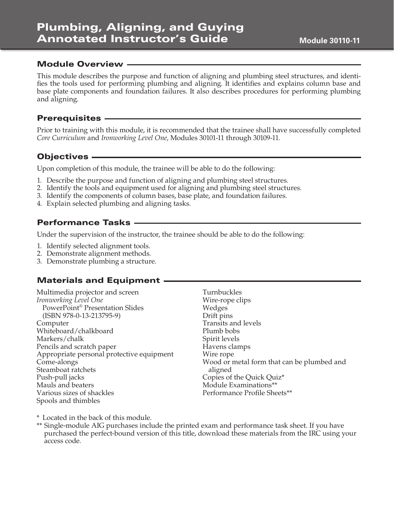This module describes the purpose and function of aligning and plumbing steel structures, and identifies the tools used for performing plumbing and aligning. It identifies and explains column base and base plate components and foundation failures. It also describes procedures for performing plumbing and aligning.

#### **Prerequisites -**

Prior to training with this module, it is recommended that the trainee shall have successfully completed *Core Curriculum* and *Ironworking Level One*, Modules 30101-11 through 30109-11.

# Objectives

Upon completion of this module, the trainee will be able to do the following:

- 1. Describe the purpose and function of aligning and plumbing steel structures.
- 2. Identify the tools and equipment used for aligning and plumbing steel structures.
- 3. Identify the components of column bases, base plate, and foundation failures.
- 4. Explain selected plumbing and aligning tasks.

# Performance Tasks

Under the supervision of the instructor, the trainee should be able to do the following:

- 1. Identify selected alignment tools.
- 2. Demonstrate alignment methods.
- 3. Demonstrate plumbing a structure.

#### Materials and Equipment

Multimedia projector and screen *Ironworking Level One* PowerPoint® Presentation Slides (ISBN 978-0-13-213795-9) Computer Whiteboard/chalkboard Markers/chalk Pencils and scratch paper Appropriate personal protective equipment Come-alongs Steamboat ratchets Push-pull jacks Mauls and beaters Various sizes of shackles Spools and thimbles

Turnbuckles Wire-rope clips Wedges Drift pins Transits and levels Plumb bobs Spirit levels Havens clamps Wire rope Wood or metal form that can be plumbed and aligned Copies of the Quick Quiz\* Module Examinations\*\* Performance Profile Sheets\*\*

\* Located in the back of this module.

\*\* Single-module AIG purchases include the printed exam and performance task sheet. If you have purchased the perfect-bound version of this title, download these materials from the IRC using your access code.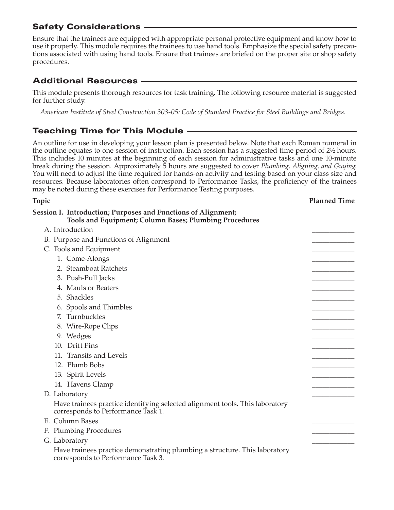# Safety Considerations

Ensure that the trainees are equipped with appropriate personal protective equipment and know how to use it properly. This module requires the trainees to use hand tools. Emphasize the special safety precautions associated with using hand tools. Ensure that trainees are briefed on the proper site or shop safety procedures.

# Additional Resources

This module presents thorough resources for task training. The following resource material is suggested for further study.

*American Institute of Steel Construction 303-05: Code of Standard Practice for Steel Buildings and Bridges*.

# Teaching Time for This Module

An outline for use in developing your lesson plan is presented below. Note that each Roman numeral in the outline equates to one session of instruction. Each session has a suggested time period of 2½ hours. This includes 10 minutes at the beginning of each session for administrative tasks and one 10-minute break during the session. Approximately 5 hours are suggested to cover *Plumbing, Aligning, and Guying*. You will need to adjust the time required for hands-on activity and testing based on your class size and resources. Because laboratories often correspond to Performance Tasks, the proficiency of the trainees may be noted during these exercises for Performance Testing purposes.

| Topic                                                                                                                   | <b>Planned Time</b> |
|-------------------------------------------------------------------------------------------------------------------------|---------------------|
| Session I. Introduction; Purposes and Functions of Alignment;<br>Tools and Equipment; Column Bases; Plumbing Procedures |                     |
| A. Introduction                                                                                                         |                     |
| B. Purpose and Functions of Alignment                                                                                   |                     |
| C. Tools and Equipment                                                                                                  |                     |
| 1. Come-Alongs                                                                                                          |                     |
| 2. Steamboat Ratchets                                                                                                   |                     |
| 3. Push-Pull Jacks                                                                                                      |                     |
| 4. Mauls or Beaters                                                                                                     |                     |
| 5. Shackles                                                                                                             |                     |
| 6. Spools and Thimbles                                                                                                  |                     |
| 7. Turnbuckles                                                                                                          |                     |
| 8. Wire-Rope Clips                                                                                                      |                     |
| 9. Wedges                                                                                                               |                     |
| 10. Drift Pins                                                                                                          |                     |
| 11. Transits and Levels                                                                                                 |                     |
| 12. Plumb Bobs                                                                                                          |                     |
| 13. Spirit Levels                                                                                                       |                     |
| 14. Havens Clamp                                                                                                        |                     |
| D. Laboratory                                                                                                           |                     |
| Have trainees practice identifying selected alignment tools. This laboratory<br>corresponds to Performance Task 1.      |                     |
| E. Column Bases                                                                                                         |                     |
| F. Plumbing Procedures                                                                                                  |                     |
| G. Laboratory                                                                                                           |                     |
| Have trainees practice demonstrating plumbing a structure. This laboratory<br>corresponds to Performance Task 3.        |                     |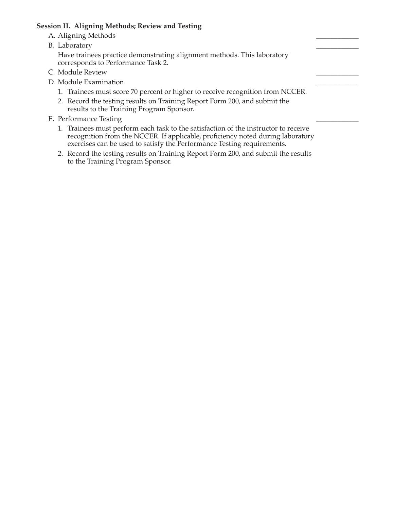#### **Session II. Aligning Methods; Review and Testing**

- A. Aligning Methods
- B. Laboratory

 Have trainees practice demonstrating alignment methods. This laboratory corresponds to Performance Task 2.

- C. Module Review
- D. Module Examination
	- 1. Trainees must score 70 percent or higher to receive recognition from NCCER.
	- 2. Record the testing results on Training Report Form 200, and submit the results to the Training Program Sponsor.
- E. Performance Testing
	- 1. Trainees must perform each task to the satisfaction of the instructor to receive recognition from the NCCER. If applicable, proficiency noted during laboratory exercises can be used to satisfy the Performance Testing requirements.
	- 2. Record the testing results on Training Report Form 200, and submit the results to the Training Program Sponsor.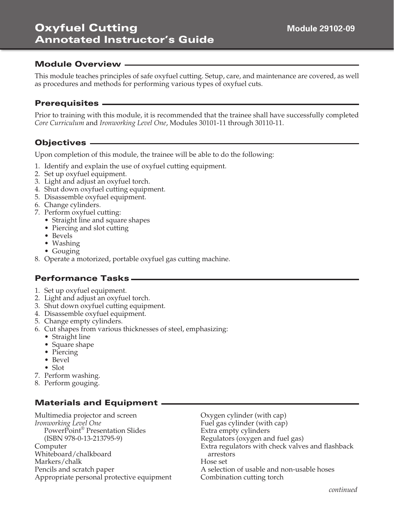# Oxyfuel Cutting Annotated Instructor's Guide

# Module Overview

This module teaches principles of safe oxyfuel cutting. Setup, care, and maintenance are covered, as well as procedures and methods for performing various types of oxyfuel cuts.

#### Prerequisites

Prior to training with this module, it is recommended that the trainee shall have successfully completed *Core Curriculum* and *Ironworking Level One*, Modules 30101-11 through 30110-11.

# Objectives

Upon completion of this module, the trainee will be able to do the following:

- 1. Identify and explain the use of oxyfuel cutting equipment.
- 2. Set up oxyfuel equipment.
- 3. Light and adjust an oxyfuel torch.
- 4. Shut down oxyfuel cutting equipment.
- 5. Disassemble oxyfuel equipment.
- 6. Change cylinders.
- 7. Perform oxyfuel cutting:
	- Straight line and square shapes
	- Piercing and slot cutting
	- Bevels
	- Washing
	- Gouging
- 8. Operate a motorized, portable oxyfuel gas cutting machine.

#### Performance Tasks

- 1. Set up oxyfuel equipment.
- 2. Light and adjust an oxyfuel torch.
- 3. Shut down oxyfuel cutting equipment.
- 4. Disassemble oxyfuel equipment.
- 5. Change empty cylinders.
- 6. Cut shapes from various thicknesses of steel, emphasizing:
	- Straight line
	- Square shape
	- Piercing
	- Bevel
	- Slot
- 7. Perform washing.
- 8. Perform gouging.

# Materials and Equipment

Multimedia projector and screen *Ironworking Level One* PowerPoint® Presentation Slides (ISBN 978-0-13-213795-9) Computer Whiteboard/chalkboard Markers/chalk Pencils and scratch paper Appropriate personal protective equipment Oxygen cylinder (with cap) Fuel gas cylinder (with cap) Extra empty cylinders Regulators (oxygen and fuel gas) Extra regulators with check valves and flashback arrestors Hose set A selection of usable and non-usable hoses Combination cutting torch

*continued*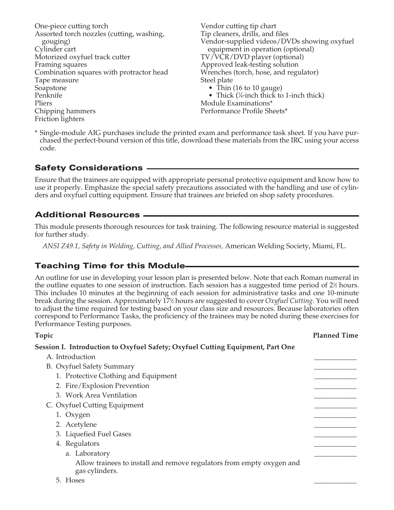One-piece cutting torch Assorted torch nozzles (cutting, washing, gouging) Cylinder cart Motorized oxyfuel track cutter Framing squares Combination squares with protractor head Tape measure Soapstone Penknife Pliers Chipping hammers Friction lighters Steel plate

Vendor cutting tip chart Tip cleaners, drills, and files Vendor-supplied videos/DVDs showing oxyfuel equipment in operation (optional) TV/VCR/DVD player (optional) Approved leak-testing solution Wrenches (torch, hose, and regulator) • Thin (16 to 10 gauge) • Thick  $(\frac{1}{4}$ -inch thick to 1-inch thick)

Module Examinations\* Performance Profile Sheets\*

\* Single-module AIG purchases include the printed exam and performance task sheet. If you have purchased the perfect-bound version of this title, download these materials from the IRC using your access code.

# Safety Considerations

Ensure that the trainees are equipped with appropriate personal protective equipment and know how to use it properly. Emphasize the special safety precautions associated with the handling and use of cylinders and oxyfuel cutting equipment. Ensure that trainees are briefed on shop safety procedures.

# Additional Resources

This module presents thorough resources for task training. The following resource material is suggested for further study.

*ANSI Z49.1, Safety in Welding, Cutting, and Allied Processes,* American Welding Society, Miami, FL.

# Teaching Time for this Module

An outline for use in developing your lesson plan is presented below. Note that each Roman numeral in the outline equates to one session of instruction. Each session has a suggested time period of  $2\frac{1}{2}$  hours. This includes 10 minutes at the beginning of each session for administrative tasks and one 10-minute break during the session. Approximately 171 ⁄2 hours are suggested to cover *Oxyfuel Cutting.* You will need to adjust the time required for testing based on your class size and resources. Because laboratories often correspond to Performance Tasks, the proficiency of the trainees may be noted during these exercises for Performance Testing purposes.

**Topic Planned Time** 

| Session I. Introduction to Oxyfuel Safety; Oxyfuel Cutting Equipment, Part One          |  |
|-----------------------------------------------------------------------------------------|--|
| A. Introduction                                                                         |  |
| B. Oxyfuel Safety Summary                                                               |  |
| 1. Protective Clothing and Equipment                                                    |  |
| 2. Fire/Explosion Prevention                                                            |  |
| 3. Work Area Ventilation                                                                |  |
| C. Oxyfuel Cutting Equipment                                                            |  |
| 1. Oxygen                                                                               |  |
| 2. Acetylene                                                                            |  |
| 3. Liquefied Fuel Gases                                                                 |  |
| 4. Regulators                                                                           |  |
| a. Laboratory                                                                           |  |
| Allow trainees to install and remove regulators from empty oxygen and<br>gas cylinders. |  |
| 5. Hoses                                                                                |  |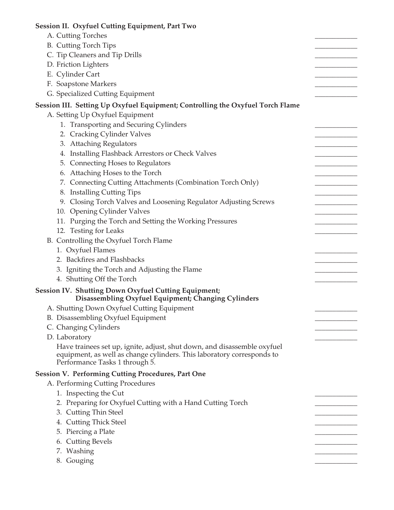| Session II. Oxyfuel Cutting Equipment, Part Two                                                                                                                                      |  |
|--------------------------------------------------------------------------------------------------------------------------------------------------------------------------------------|--|
| A. Cutting Torches                                                                                                                                                                   |  |
| <b>B.</b> Cutting Torch Tips                                                                                                                                                         |  |
| C. Tip Cleaners and Tip Drills                                                                                                                                                       |  |
| D. Friction Lighters                                                                                                                                                                 |  |
| E. Cylinder Cart                                                                                                                                                                     |  |
| F. Soapstone Markers                                                                                                                                                                 |  |
| G. Specialized Cutting Equipment                                                                                                                                                     |  |
| Session III. Setting Up Oxyfuel Equipment; Controlling the Oxyfuel Torch Flame                                                                                                       |  |
| A. Setting Up Oxyfuel Equipment                                                                                                                                                      |  |
| 1. Transporting and Securing Cylinders                                                                                                                                               |  |
| 2. Cracking Cylinder Valves                                                                                                                                                          |  |
| 3. Attaching Regulators                                                                                                                                                              |  |
| 4. Installing Flashback Arrestors or Check Valves                                                                                                                                    |  |
| 5. Connecting Hoses to Regulators                                                                                                                                                    |  |
| 6. Attaching Hoses to the Torch                                                                                                                                                      |  |
| 7. Connecting Cutting Attachments (Combination Torch Only)                                                                                                                           |  |
| 8. Installing Cutting Tips                                                                                                                                                           |  |
| 9. Closing Torch Valves and Loosening Regulator Adjusting Screws                                                                                                                     |  |
| 10. Opening Cylinder Valves                                                                                                                                                          |  |
| 11. Purging the Torch and Setting the Working Pressures                                                                                                                              |  |
| 12. Testing for Leaks                                                                                                                                                                |  |
| B. Controlling the Oxyfuel Torch Flame                                                                                                                                               |  |
| 1. Oxyfuel Flames                                                                                                                                                                    |  |
| 2. Backfires and Flashbacks                                                                                                                                                          |  |
| 3. Igniting the Torch and Adjusting the Flame                                                                                                                                        |  |
| 4. Shutting Off the Torch                                                                                                                                                            |  |
|                                                                                                                                                                                      |  |
| <b>Session IV. Shutting Down Oxyfuel Cutting Equipment;</b><br>Disassembling Oxyfuel Equipment; Changing Cylinders                                                                   |  |
| A. Shutting Down Oxyfuel Cutting Equipment                                                                                                                                           |  |
| B. Disassembling Oxyfuel Equipment                                                                                                                                                   |  |
| C. Changing Cylinders                                                                                                                                                                |  |
| D. Laboratory                                                                                                                                                                        |  |
| Have trainees set up, ignite, adjust, shut down, and disassemble oxyfuel<br>equipment, as well as change cylinders. This laboratory corresponds to<br>Performance Tasks 1 through 5. |  |
| <b>Session V. Performing Cutting Procedures, Part One</b>                                                                                                                            |  |
| A. Performing Cutting Procedures                                                                                                                                                     |  |
| 1. Inspecting the Cut                                                                                                                                                                |  |
| 2. Preparing for Oxyfuel Cutting with a Hand Cutting Torch                                                                                                                           |  |
| 3. Cutting Thin Steel                                                                                                                                                                |  |
| 4. Cutting Thick Steel                                                                                                                                                               |  |
| 5. Piercing a Plate                                                                                                                                                                  |  |
| 6. Cutting Bevels                                                                                                                                                                    |  |
| 7. Washing                                                                                                                                                                           |  |
| 8. Gouging                                                                                                                                                                           |  |
|                                                                                                                                                                                      |  |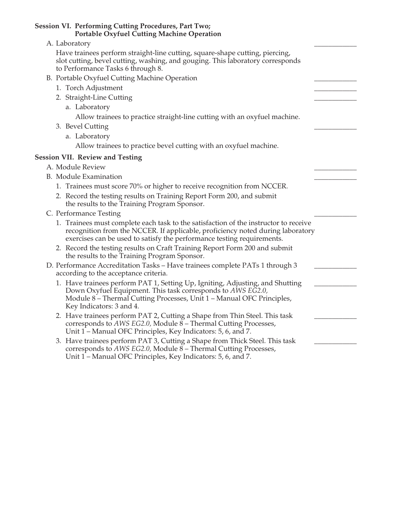| <b>Session VI. Performing Cutting Procedures, Part Two;</b><br><b>Portable Oxyfuel Cutting Machine Operation</b>                                                                                                                                  |  |
|---------------------------------------------------------------------------------------------------------------------------------------------------------------------------------------------------------------------------------------------------|--|
| A. Laboratory                                                                                                                                                                                                                                     |  |
| Have trainees perform straight-line cutting, square-shape cutting, piercing,<br>slot cutting, bevel cutting, washing, and gouging. This laboratory corresponds<br>to Performance Tasks 6 through 8.                                               |  |
| B. Portable Oxyfuel Cutting Machine Operation                                                                                                                                                                                                     |  |
| 1. Torch Adjustment                                                                                                                                                                                                                               |  |
| 2. Straight-Line Cutting                                                                                                                                                                                                                          |  |
| a. Laboratory                                                                                                                                                                                                                                     |  |
| Allow trainees to practice straight-line cutting with an oxyfuel machine.                                                                                                                                                                         |  |
| 3. Bevel Cutting                                                                                                                                                                                                                                  |  |
| a. Laboratory                                                                                                                                                                                                                                     |  |
| Allow trainees to practice bevel cutting with an oxyfuel machine.                                                                                                                                                                                 |  |
| <b>Session VII. Review and Testing</b>                                                                                                                                                                                                            |  |
| A. Module Review                                                                                                                                                                                                                                  |  |
| <b>B.</b> Module Examination                                                                                                                                                                                                                      |  |
| 1. Trainees must score 70% or higher to receive recognition from NCCER.                                                                                                                                                                           |  |
| 2. Record the testing results on Training Report Form 200, and submit<br>the results to the Training Program Sponsor.                                                                                                                             |  |
| C. Performance Testing                                                                                                                                                                                                                            |  |
| 1. Trainees must complete each task to the satisfaction of the instructor to receive<br>recognition from the NCCER. If applicable, proficiency noted during laboratory<br>exercises can be used to satisfy the performance testing requirements.  |  |
| 2. Record the testing results on Craft Training Report Form 200 and submit<br>the results to the Training Program Sponsor.                                                                                                                        |  |
| D. Performance Accreditation Tasks - Have trainees complete PATs 1 through 3<br>according to the acceptance criteria.                                                                                                                             |  |
| 1. Have trainees perform PAT 1, Setting Up, Igniting, Adjusting, and Shutting<br>Down Oxyfuel Equipment. This task corresponds to AWS EG2.0,<br>Module 8 - Thermal Cutting Processes, Unit 1 - Manual OFC Principles,<br>Key Indicators: 3 and 4. |  |
| 2. Have trainees perform PAT 2, Cutting a Shape from Thin Steel. This task<br>corresponds to AWS EG2.0, Module 8 - Thermal Cutting Processes,<br>Unit 1 – Manual OFC Principles, Key Indicators: 5, 6, and 7.                                     |  |
| 3. Have trainees perform PAT 3, Cutting a Shape from Thick Steel. This task<br>corresponds to AWS EG2.0, Module 8 – Thermal Cutting Processes,<br>Unit 1 – Manual OFC Principles, Key Indicators: 5, 6, and 7.                                    |  |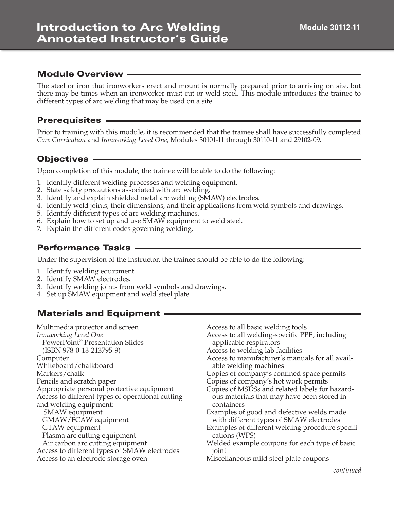The steel or iron that ironworkers erect and mount is normally prepared prior to arriving on site, but there may be times when an ironworker must cut or weld steel. This module introduces the trainee to different types of arc welding that may be used on a site.

#### Prerequisites

Prior to training with this module, it is recommended that the trainee shall have successfully completed *Core Curriculum* and *Ironworking Level One*, Modules 30101-11 through 30110-11 and 29102-09.

#### Objectives

Upon completion of this module, the trainee will be able to do the following:

- 1. Identify different welding processes and welding equipment.
- 2. State safety precautions associated with arc welding.
- 3. Identify and explain shielded metal arc welding (SMAW) electrodes.
- 4. Identify weld joints, their dimensions, and their applications from weld symbols and drawings.
- 5. Identify different types of arc welding machines.
- 6. Explain how to set up and use SMAW equipment to weld steel.
- 7. Explain the different codes governing welding.

#### Performance Tasks

Under the supervision of the instructor, the trainee should be able to do the following:

- 1. Identify welding equipment.
- 2. Identify SMAW electrodes.
- 3. Identify welding joints from weld symbols and drawings.
- 4. Set up SMAW equipment and weld steel plate.

#### Materials and Equipment

Multimedia projector and screen *Ironworking Level One* PowerPoint® Presentation Slides (ISBN 978-0-13-213795-9) Computer Whiteboard/chalkboard Markers/chalk Pencils and scratch paper Appropriate personal protective equipment Access to different types of operational cutting and welding equipment: SMAW equipment GMAW/FCAW equipment GTAW equipment Plasma arc cutting equipment Air carbon arc cutting equipment Access to different types of SMAW electrodes Access to an electrode storage oven

Access to all basic welding tools Access to all welding-specific PPE, including applicable respirators Access to welding lab facilities Access to manufacturer's manuals for all available welding machines Copies of company's confined space permits Copies of company's hot work permits Copies of MSDSs and related labels for hazardous materials that may have been stored in containers Examples of good and defective welds made with different types of SMAW electrodes Examples of different welding procedure specifications (WPS) Welded example coupons for each type of basic joint Miscellaneous mild steel plate coupons

*continued*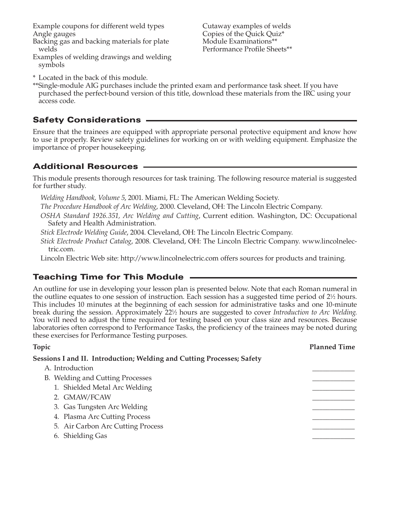Example coupons for different weld types Angle gauges

Backing gas and backing materials for plate welds

Examples of welding drawings and welding symbols

Cutaway examples of welds Copies of the Quick Quiz\* Module Examinations\*\* Performance Profile Sheets\*\*

- \* Located in the back of this module.
- \*\*Single-module AIG purchases include the printed exam and performance task sheet. If you have purchased the perfect-bound version of this title, download these materials from the IRC using your access code.

# Safety Considerations

Ensure that the trainees are equipped with appropriate personal protective equipment and know how to use it properly. Review safety guidelines for working on or with welding equipment. Emphasize the importance of proper housekeeping.

# Additional Resources

This module presents thorough resources for task training. The following resource material is suggested for further study.

- *Welding Handbook, Volume 5*, 2001. Miami, FL: The American Welding Society.
- *The Procedure Handbook of Arc Welding*, 2000. Cleveland, OH: The Lincoln Electric Company.
- *OSHA Standard 1926.351, Arc Welding and Cutting*, Current edition. Washington, DC: Occupational Safety and Health Administration.
- *Stick Electrode Welding Guide*, 2004. Cleveland, OH: The Lincoln Electric Company.
- *Stick Electrode Product Catalog*, 2008. Cleveland, OH: The Lincoln Electric Company. www.lincolnelectric.com.
- Lincoln Electric Web site: http://www.lincolnelectric.com offers sources for products and training.

# Teaching Time for This Module

An outline for use in developing your lesson plan is presented below. Note that each Roman numeral in the outline equates to one session of instruction. Each session has a suggested time period of 2<sup>1</sup>/<sub>2</sub> hours. This includes 10 minutes at the beginning of each session for administrative tasks and one 10-minute break during the session. Approximately 221 ⁄2 hours are suggested to cover *Introduction to Arc Welding*. You will need to adjust the time required for testing based on your class size and resources. Because laboratories often correspond to Performance Tasks, the proficiency of the trainees may be noted during these exercises for Performance Testing purposes.

| <b>Topic</b>                                                           | <b>Planned Time</b> |
|------------------------------------------------------------------------|---------------------|
| Sessions I and II. Introduction; Welding and Cutting Processes; Safety |                     |
| A. Introduction                                                        |                     |
| B. Welding and Cutting Processes                                       |                     |
| 1. Shielded Metal Arc Welding                                          |                     |
| 2. GMAW/FCAW                                                           |                     |
| 3. Gas Tungsten Arc Welding                                            |                     |
| 4. Plasma Arc Cutting Process                                          |                     |
| 5. Air Carbon Arc Cutting Process                                      |                     |
| 6. Shielding Gas                                                       |                     |
|                                                                        |                     |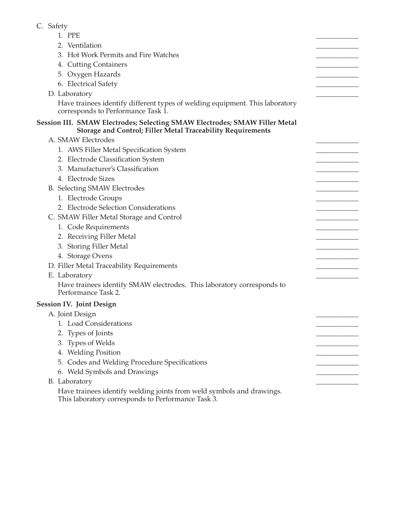# C. Safety

| 1. PPE                                                                                                                                           |  |
|--------------------------------------------------------------------------------------------------------------------------------------------------|--|
| 2. Ventilation                                                                                                                                   |  |
| 3. Hot Work Permits and Fire Watches                                                                                                             |  |
| 4. Cutting Containers                                                                                                                            |  |
| 5. Oxygen Hazards                                                                                                                                |  |
| 6. Electrical Safety                                                                                                                             |  |
| D. Laboratory                                                                                                                                    |  |
| Have trainees identify different types of welding equipment. This laboratory<br>corresponds to Performance Task 1.                               |  |
| Session III. SMAW Electrodes; Selecting SMAW Electrodes; SMAW Filler Metal<br><b>Storage and Control; Filler Metal Traceability Requirements</b> |  |
| A. SMAW Electrodes                                                                                                                               |  |
| 1. AWS Filler Metal Specification System                                                                                                         |  |
| 2. Electrode Classification System                                                                                                               |  |
| 3. Manufacturer's Classification                                                                                                                 |  |
| 4. Electrode Sizes                                                                                                                               |  |
| B. Selecting SMAW Electrodes                                                                                                                     |  |
| 1. Electrode Groups                                                                                                                              |  |
| 2. Electrode Selection Considerations                                                                                                            |  |
| C. SMAW Filler Metal Storage and Control                                                                                                         |  |
| 1. Code Requirements                                                                                                                             |  |
| 2. Receiving Filler Metal                                                                                                                        |  |
| 3. Storing Filler Metal                                                                                                                          |  |
| 4. Storage Ovens                                                                                                                                 |  |
| D. Filler Metal Traceability Requirements                                                                                                        |  |
| E. Laboratory                                                                                                                                    |  |
| Have trainees identify SMAW electrodes. This laboratory corresponds to<br>Performance Task 2.                                                    |  |
| <b>Session IV. Joint Design</b>                                                                                                                  |  |
| A. Joint Design                                                                                                                                  |  |
| <b>Load Considerations</b>                                                                                                                       |  |
| Types of Joints<br>2.                                                                                                                            |  |
| 3. Types of Welds                                                                                                                                |  |
| 4. Welding Position                                                                                                                              |  |
| Codes and Welding Procedure Specifications<br>5.                                                                                                 |  |
| 6. Weld Symbols and Drawings                                                                                                                     |  |
| B. Laboratory                                                                                                                                    |  |
| Have trainees identify welding joints from weld symbols and drawings.                                                                            |  |

This laboratory corresponds to Performance Task 3.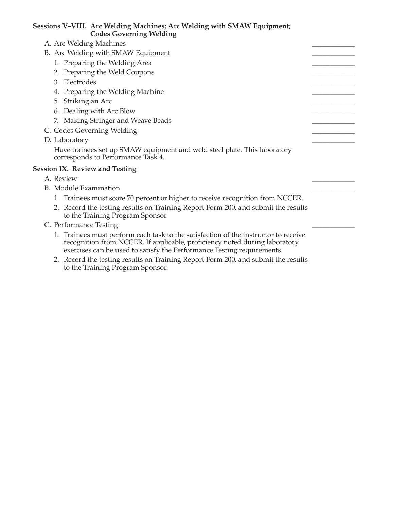| Sessions V–VIII. Arc Welding Machines; Arc Welding with SMAW Equipment;<br><b>Codes Governing Welding</b>                                                                                                                                   |  |
|---------------------------------------------------------------------------------------------------------------------------------------------------------------------------------------------------------------------------------------------|--|
| A. Arc Welding Machines                                                                                                                                                                                                                     |  |
| B. Arc Welding with SMAW Equipment                                                                                                                                                                                                          |  |
| 1. Preparing the Welding Area                                                                                                                                                                                                               |  |
| 2. Preparing the Weld Coupons                                                                                                                                                                                                               |  |
| 3. Electrodes                                                                                                                                                                                                                               |  |
| 4. Preparing the Welding Machine                                                                                                                                                                                                            |  |
| 5. Striking an Arc                                                                                                                                                                                                                          |  |
| 6. Dealing with Arc Blow                                                                                                                                                                                                                    |  |
| 7. Making Stringer and Weave Beads                                                                                                                                                                                                          |  |
| C. Codes Governing Welding                                                                                                                                                                                                                  |  |
| D. Laboratory                                                                                                                                                                                                                               |  |
| Have trainees set up SMAW equipment and weld steel plate. This laboratory<br>corresponds to Performance Task 4.                                                                                                                             |  |
| <b>Session IX. Review and Testing</b>                                                                                                                                                                                                       |  |
| A. Review                                                                                                                                                                                                                                   |  |
| B. Module Examination                                                                                                                                                                                                                       |  |
| 1. Trainees must score 70 percent or higher to receive recognition from NCCER.                                                                                                                                                              |  |
| 2. Record the testing results on Training Report Form 200, and submit the results<br>to the Training Program Sponsor.                                                                                                                       |  |
| C. Performance Testing                                                                                                                                                                                                                      |  |
| 1. Trainees must perform each task to the satisfaction of the instructor to receive<br>recognition from NCCER. If applicable, proficiency noted during laboratory<br>exercises can be used to satisfy the Performance Testing requirements. |  |
| 2. Becaud the testing results on Training Benort Form 200 and submit the results                                                                                                                                                            |  |

 2. Record the testing results on Training Report Form 200, and submit the results to the Training Program Sponsor.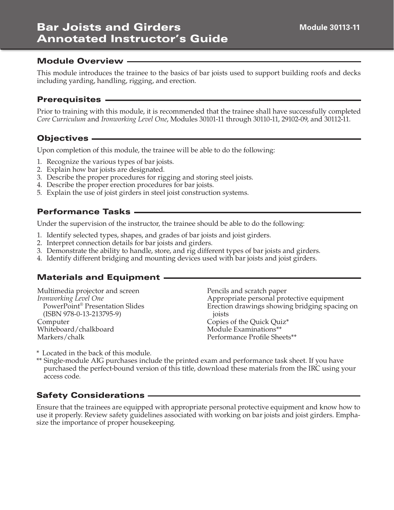# Bar Joists and Girders Annotated Instructor's Guide

#### Module Overview

This module introduces the trainee to the basics of bar joists used to support building roofs and decks including yarding, handling, rigging, and erection.

#### Prerequisites

Prior to training with this module, it is recommended that the trainee shall have successfully completed *Core Curriculum* and *Ironworking Level One*, Modules 30101-11 through 30110-11, 29102-09, and 30112-11.

# Objectives

Upon completion of this module, the trainee will be able to do the following:

- 1. Recognize the various types of bar joists.
- 2. Explain how bar joists are designated.
- 3. Describe the proper procedures for rigging and storing steel joists.
- 4. Describe the proper erection procedures for bar joists.
- 5. Explain the use of joist girders in steel joist construction systems.

# Performance Tasks

Under the supervision of the instructor, the trainee should be able to do the following:

- 1. Identify selected types, shapes, and grades of bar joists and joist girders.
- 2. Interpret connection details for bar joists and girders.
- 3. Demonstrate the ability to handle, store, and rig different types of bar joists and girders.
- 4. Identify different bridging and mounting devices used with bar joists and joist girders.

#### Materials and Equipment

| Multimedia projector and screen             | Pencils and scratch paper                     |
|---------------------------------------------|-----------------------------------------------|
| Ironworking Level One                       | Appropriate personal protective equipment     |
| PowerPoint <sup>®</sup> Presentation Slides | Erection drawings showing bridging spacing on |
| $(ISBN 978-0-13-213795-9)$                  | joists                                        |
| Computer                                    | Copies of the Quick Quiz*                     |
| Whiteboard/chalkboard                       | Module Examinations**                         |
| Markers/chalk                               | Performance Profile Sheets**                  |

- \* Located in the back of this module.
- \*\* Single-module AIG purchases include the printed exam and performance task sheet. If you have purchased the perfect-bound version of this title, download these materials from the IRC using your access code.

# Safety Considerations

Ensure that the trainees are equipped with appropriate personal protective equipment and know how to use it properly. Review safety guidelines associated with working on bar joists and joist girders. Emphasize the importance of proper housekeeping.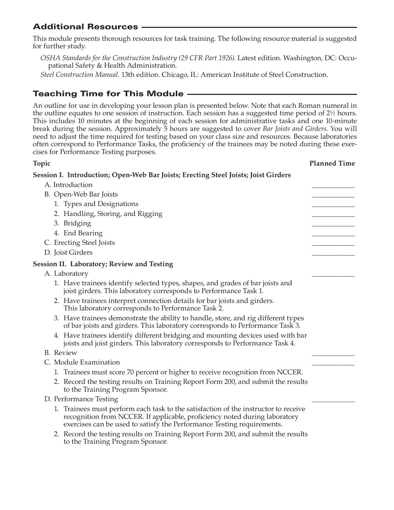# Additional Resources

This module presents thorough resources for task training. The following resource material is suggested for further study.

*OSHA Standards for the Construction Industry (29 CFR Part 1926)*. Latest edition. Washington, DC: Occupational Safety & Health Administration.

*Steel Construction Manual.* 13th edition. Chicago, IL: American Institute of Steel Construction.

# Teaching Time for This Module

An outline for use in developing your lesson plan is presented below. Note that each Roman numeral in the outline equates to one session of instruction. Each session has a suggested time period of 2<sup>1</sup>/<sub>2</sub> hours. This includes 10 minutes at the beginning of each session for administrative tasks and one 10-minute break during the session. Approximately 5 hours are suggested to cover *Bar Joists and Girders*. You will need to adjust the time required for testing based on your class size and resources. Because laboratories often correspond to Performance Tasks, the proficiency of the trainees may be noted during these exercises for Performance Testing purposes.

| <b>Topic</b>                                                                                                                                                                                                                                | <b>Planned Time</b> |
|---------------------------------------------------------------------------------------------------------------------------------------------------------------------------------------------------------------------------------------------|---------------------|
| Session I. Introduction; Open-Web Bar Joists; Erecting Steel Joists; Joist Girders                                                                                                                                                          |                     |
| A. Introduction                                                                                                                                                                                                                             |                     |
| B. Open-Web Bar Joists                                                                                                                                                                                                                      |                     |
| 1. Types and Designations                                                                                                                                                                                                                   |                     |
| 2. Handling, Storing, and Rigging                                                                                                                                                                                                           |                     |
| 3. Bridging                                                                                                                                                                                                                                 |                     |
| 4. End Bearing                                                                                                                                                                                                                              |                     |
| C. Erecting Steel Joists                                                                                                                                                                                                                    |                     |
| D. Joist Girders                                                                                                                                                                                                                            |                     |
| <b>Session II. Laboratory; Review and Testing</b>                                                                                                                                                                                           |                     |
| A. Laboratory                                                                                                                                                                                                                               |                     |
| 1. Have trainees identify selected types, shapes, and grades of bar joists and<br>joist girders. This laboratory corresponds to Performance Task 1.                                                                                         |                     |
| 2. Have trainees interpret connection details for bar joists and girders.<br>This laboratory corresponds to Performance Task 2.                                                                                                             |                     |
| 3. Have trainees demonstrate the ability to handle, store, and rig different types<br>of bar joists and girders. This laboratory corresponds to Performance Task 3.                                                                         |                     |
| 4. Have trainees identify different bridging and mounting devices used with bar<br>joists and joist girders. This laboratory corresponds to Performance Task 4.                                                                             |                     |
| <b>B.</b> Review                                                                                                                                                                                                                            |                     |
| C. Module Examination                                                                                                                                                                                                                       |                     |
| 1. Trainees must score 70 percent or higher to receive recognition from NCCER.                                                                                                                                                              |                     |
| 2. Record the testing results on Training Report Form 200, and submit the results<br>to the Training Program Sponsor.                                                                                                                       |                     |
| D. Performance Testing                                                                                                                                                                                                                      |                     |
| 1. Trainees must perform each task to the satisfaction of the instructor to receive<br>recognition from NCCER. If applicable, proficiency noted during laboratory<br>exercises can be used to satisfy the Performance Testing requirements. |                     |
| 2. Record the testing results on Training Report Form 200, and submit the results<br>to the Training Program Sponsor.                                                                                                                       |                     |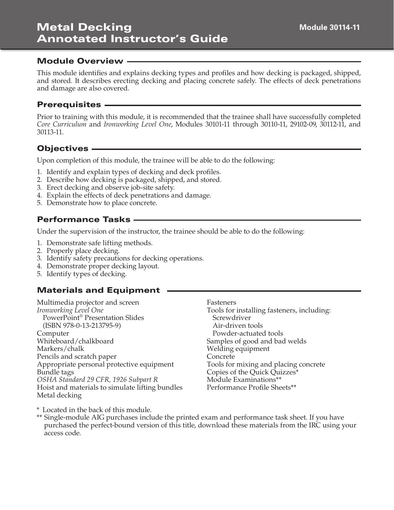This module identifies and explains decking types and profiles and how decking is packaged, shipped, and stored. It describes erecting decking and placing concrete safely. The effects of deck penetrations and damage are also covered.

#### Prerequisites

Prior to training with this module, it is recommended that the trainee shall have successfully completed *Core Curriculum* and *Ironworking Level One*, Modules 30101-11 through 30110-11, 29102-09, 30112-11, and 30113-11.

#### Objectives

Upon completion of this module, the trainee will be able to do the following:

- 1. Identify and explain types of decking and deck profiles.
- 2. Describe how decking is packaged, shipped, and stored.
- 3. Erect decking and observe job-site safety.
- 4. Explain the effects of deck penetrations and damage.
- 5. Demonstrate how to place concrete.

# Performance Tasks

Under the supervision of the instructor, the trainee should be able to do the following:

- 1. Demonstrate safe lifting methods.
- 2. Properly place decking.
- 3. Identify safety precautions for decking operations.
- 4. Demonstrate proper decking layout.
- 5. Identify types of decking.

#### Materials and Equipment

Multimedia projector and screen *Ironworking Level One* PowerPoint® Presentation Slides (ISBN 978-0-13-213795-9) Computer Whiteboard/chalkboard Markers/chalk Pencils and scratch paper Appropriate personal protective equipment Bundle tags *OSHA Standard 29 CFR, 1926 Subpart R* Hoist and materials to simulate lifting bundles Metal decking

Fasteners

Tools for installing fasteners, including: **Screwdriver** Air-driven tools Powder-actuated tools Samples of good and bad welds Welding equipment Concrete Tools for mixing and placing concrete Copies of the Quick Quizzes\* Module Examinations\*\* Performance Profile Sheets\*\*

\* Located in the back of this module.

\*\* Single-module AIG purchases include the printed exam and performance task sheet. If you have purchased the perfect-bound version of this title, download these materials from the IRC using your access code.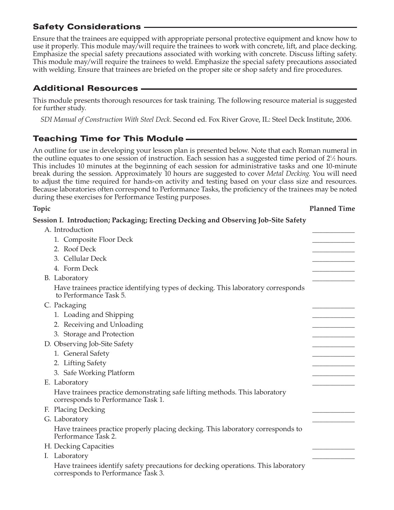# Safety Considerations

Ensure that the trainees are equipped with appropriate personal protective equipment and know how to use it properly. This module may/will require the trainees to work with concrete, lift, and place decking. Emphasize the special safety precautions associated with working with concrete. Discuss lifting safety. This module may/will require the trainees to weld. Emphasize the special safety precautions associated with welding. Ensure that trainees are briefed on the proper site or shop safety and fire procedures.

# Additional Resources

This module presents thorough resources for task training. The following resource material is suggested for further study.

*SDI Manual of Construction With Steel Deck*. Second ed. Fox River Grove, IL: Steel Deck Institute, 2006.

# Teaching Time for This Module

An outline for use in developing your lesson plan is presented below. Note that each Roman numeral in the outline equates to one session of instruction. Each session has a suggested time period of 2<sup>1</sup>/<sub>2</sub> hours. This includes 10 minutes at the beginning of each session for administrative tasks and one 10-minute break during the session. Approximately 10 hours are suggested to cover *Metal Decking*. You will need to adjust the time required for hands-on activity and testing based on your class size and resources. Because laboratories often correspond to Performance Tasks, the proficiency of the trainees may be noted during these exercises for Performance Testing purposes.

#### **Topic Planned Time**

**Session I. Introduction; Packaging; Erecting Decking and Observing Job-Site Safety**

| A. Introduction                                                                                                         |  |
|-------------------------------------------------------------------------------------------------------------------------|--|
| 1. Composite Floor Deck                                                                                                 |  |
| 2. Roof Deck                                                                                                            |  |
| 3. Cellular Deck                                                                                                        |  |
| 4. Form Deck                                                                                                            |  |
| B. Laboratory                                                                                                           |  |
| Have trainees practice identifying types of decking. This laboratory corresponds<br>to Performance Task 5.              |  |
| C. Packaging                                                                                                            |  |
| 1. Loading and Shipping                                                                                                 |  |
| 2. Receiving and Unloading                                                                                              |  |
| 3. Storage and Protection                                                                                               |  |
| D. Observing Job-Site Safety                                                                                            |  |
| 1. General Safety                                                                                                       |  |
| 2. Lifting Safety                                                                                                       |  |
| 3. Safe Working Platform                                                                                                |  |
| E. Laboratory                                                                                                           |  |
| Have trainees practice demonstrating safe lifting methods. This laboratory<br>corresponds to Performance Task 1.        |  |
| F. Placing Decking                                                                                                      |  |
| G. Laboratory                                                                                                           |  |
| Have trainees practice properly placing decking. This laboratory corresponds to<br>Performance Task 2.                  |  |
| H. Decking Capacities                                                                                                   |  |
| Laboratory<br>$\mathbf{I}$ .                                                                                            |  |
| Have trainees identify safety precautions for decking operations. This laboratory<br>corresponds to Performance Task 3. |  |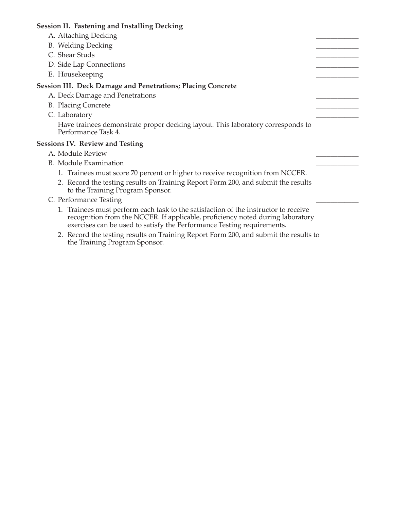#### **Session II. Fastening and Installing Decking**

- A. Attaching Decking
- B. Welding Decking
- C. Shear Studs
- D. Side Lap Connections
- E. Housekeeping

#### **Session III. Deck Damage and Penetrations; Placing Concrete**

- A. Deck Damage and Penetrations
- B. Placing Concrete
- C. Laboratory

 Have trainees demonstrate proper decking layout. This laboratory corresponds to Performance Task 4.

#### **Sessions IV. Review and Testing**

- A. Module Review
- B. Module Examination
	- 1. Trainees must score 70 percent or higher to receive recognition from NCCER.
	- 2. Record the testing results on Training Report Form 200, and submit the results to the Training Program Sponsor.
- C. Performance Testing
	- 1. Trainees must perform each task to the satisfaction of the instructor to receive recognition from the NCCER. If applicable, proficiency noted during laboratory exercises can be used to satisfy the Performance Testing requirements.
	- 2. Record the testing results on Training Report Form 200, and submit the results to the Training Program Sponsor.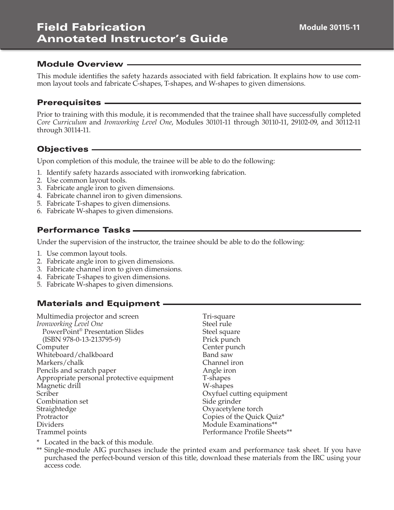# Field Fabrication Annotated Instructor's Guide

#### Module Overview

This module identifies the safety hazards associated with field fabrication. It explains how to use common layout tools and fabricate C-shapes, T-shapes, and W-shapes to given dimensions.

#### Prerequisites

Prior to training with this module, it is recommended that the trainee shall have successfully completed *Core Curriculum* and *Ironworking Level One*, Modules 30101-11 through 30110-11, 29102-09, and 30112-11 through 30114-11.

#### Objectives

Upon completion of this module, the trainee will be able to do the following:

- 1. Identify safety hazards associated with ironworking fabrication.
- 2. Use common layout tools.
- 3. Fabricate angle iron to given dimensions.
- 4. Fabricate channel iron to given dimensions.
- 5. Fabricate T-shapes to given dimensions.
- 6. Fabricate W-shapes to given dimensions.

# Performance Tasks

Under the supervision of the instructor, the trainee should be able to do the following:

- 1. Use common layout tools.
- 2. Fabricate angle iron to given dimensions.
- 3. Fabricate channel iron to given dimensions.
- 4. Fabricate T-shapes to given dimensions.
- 5. Fabricate W-shapes to given dimensions.

#### Materials and Equipment

| Tri-square                   |
|------------------------------|
| Steel rule                   |
| Steel square                 |
| Prick punch                  |
| Center punch                 |
| Band saw                     |
| Channel iron                 |
| Angle iron                   |
| T-shapes                     |
| W-shapes                     |
| Oxyfuel cutting equipment    |
| Side grinder                 |
| Oxyacetylene torch           |
| Copies of the Quick Quiz*    |
| Module Examinations**        |
| Performance Profile Sheets** |
|                              |

\* Located in the back of this module.

\*\* Single-module AIG purchases include the printed exam and performance task sheet. If you have purchased the perfect-bound version of this title, download these materials from the IRC using your access code.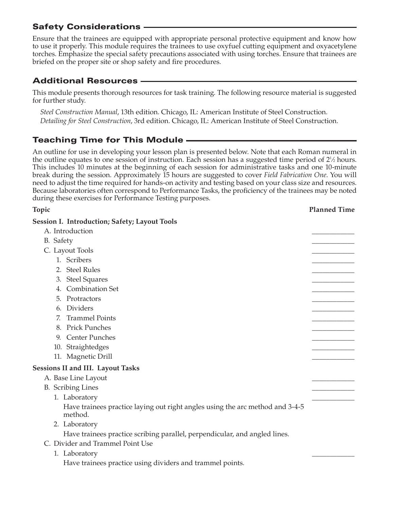# Safety Considerations

Ensure that the trainees are equipped with appropriate personal protective equipment and know how to use it properly. This module requires the trainees to use oxyfuel cutting equipment and oxyacetylene torches. Emphasize the special safety precautions associated with using torches. Ensure that trainees are briefed on the proper site or shop safety and fire procedures.

# Additional Resources

This module presents thorough resources for task training. The following resource material is suggested for further study.

*Steel Construction Manual*, 13th edition. Chicago, IL: American Institute of Steel Construction. *Detailing for Steel Construction*, 3rd edition. Chicago, IL: American Institute of Steel Construction.

# Teaching Time for This Module

An outline for use in developing your lesson plan is presented below. Note that each Roman numeral in the outline equates to one session of instruction. Each session has a suggested time period of  $2\frac{1}{2}$  hours. This includes 10 minutes at the beginning of each session for administrative tasks and one 10-minute break during the session. Approximately 15 hours are suggested to cover *Field Fabrication One*. You will need to adjust the time required for hands-on activity and testing based on your class size and resources. Because laboratories often correspond to Performance Tasks, the proficiency of the trainees may be noted during these exercises for Performance Testing purposes.

**Topic Planned Time Session I. Introduction; Safety; Layout Tools** A. Introduction B. Safety **Executive Contract Contract Contract Contract Contract Contract Contract Contract Contract Contract Contract Contract Contract Contract Contract Contract Contract Contract Contract Contract Contract Contract Con** C. Layout Tools 1. Scribers \_\_\_\_\_\_\_\_\_\_\_\_ 2. Steel Rules 3. Steel Squares 4. Combination Set 5. Protractors 6. Dividers **and the contract of the contract of the contract of the contract of the contract of the contract of the contract of the contract of the contract of the contract of the contract of the contract of the contract** 7. Trammel Points 8. Prick Punches 9. Center Punches 10. Straightedges 11. Magnetic Drill **Sessions II and III. Layout Tasks** A. Base Line Layout B. Scribing Lines 1. Laboratory Have trainees practice laying out right angles using the arc method and 3-4-5 method. 2. Laboratory Have trainees practice scribing parallel, perpendicular, and angled lines. C. Divider and Trammel Point Use 1. Laboratory

Have trainees practice using dividers and trammel points.